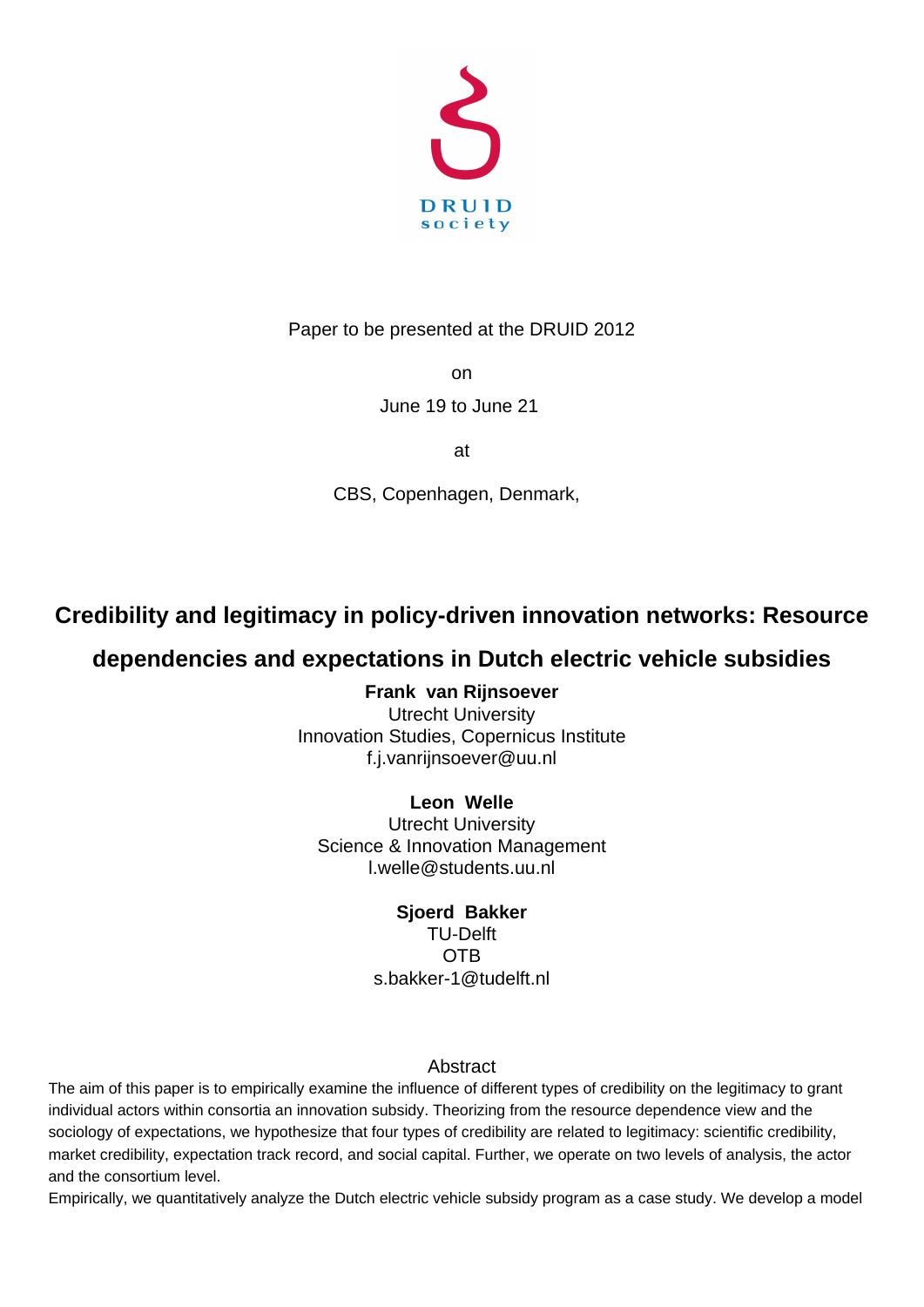

Paper to be presented at the DRUID 2012

on

# June 19 to June 21

at

CBS, Copenhagen, Denmark,

# **Credibility and legitimacy in policy-driven innovation networks: Resource**

# **dependencies and expectations in Dutch electric vehicle subsidies**

**Frank van Rijnsoever** Utrecht University Innovation Studies, Copernicus Institute f.j.vanrijnsoever@uu.nl

# **Leon Welle**

Utrecht University Science & Innovation Management l.welle@students.uu.nl

# **Sjoerd Bakker**

TU-Delft OTB s.bakker-1@tudelft.nl

# Abstract

The aim of this paper is to empirically examine the influence of different types of credibility on the legitimacy to grant individual actors within consortia an innovation subsidy. Theorizing from the resource dependence view and the sociology of expectations, we hypothesize that four types of credibility are related to legitimacy: scientific credibility, market credibility, expectation track record, and social capital. Further, we operate on two levels of analysis, the actor and the consortium level.

Empirically, we quantitatively analyze the Dutch electric vehicle subsidy program as a case study. We develop a model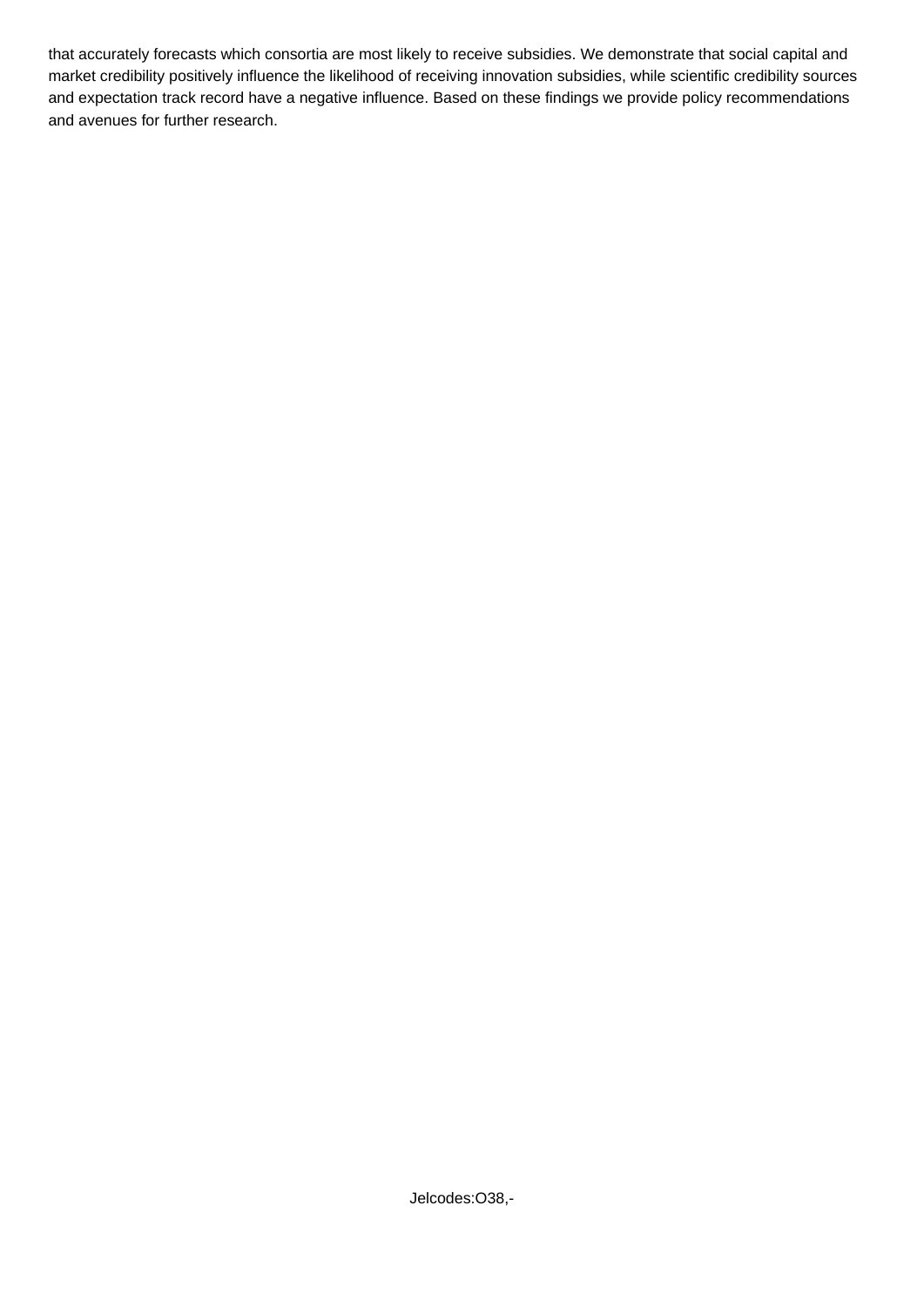that accurately forecasts which consortia are most likely to receive subsidies. We demonstrate that social capital and market credibility positively influence the likelihood of receiving innovation subsidies, while scientific credibility sources and expectation track record have a negative influence. Based on these findings we provide policy recommendations and avenues for further research.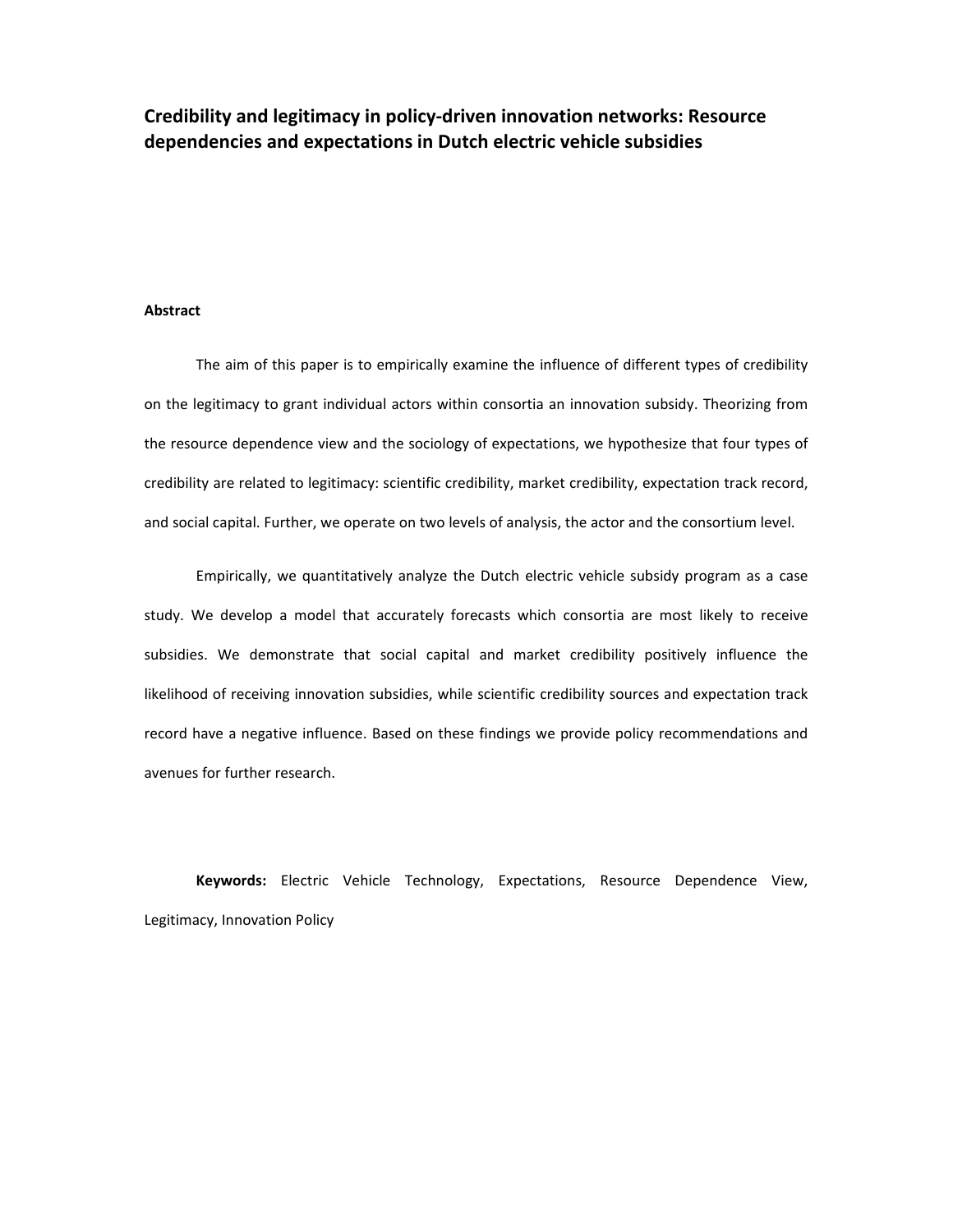# **Credibility and legitimacy in policyどdriven innovation networks: Resource dependencies and expectations in Dutch electric vehicle subsidies**

### **Abstract**

The aim of this paper is to empirically examine the influence of different types of credibility on the legitimacy to grant individual actors within consortia an innovation subsidy. Theorizing from the resource dependence view and the sociology of expectations, we hypothesize that four types of credibility are related to legitimacy: scientific credibility, market credibility, expectation track record, and social capital. Further, we operate on two levels of analysis, the actor and the consortium level.

Empirically, we quantitatively analyze the Dutch electric vehicle subsidy program as a case study. We develop a model that accurately forecasts which consortia are most likely to receive subsidies. We demonstrate that social capital and market credibility positively influence the likelihood of receiving innovation subsidies, while scientific credibility sources and expectation track record have a negative influence. Based on these findings we provide policy recommendations and avenues for further research.

**Keywords:** Electric Vehicle Technology, Expectations, Resource Dependence View, Legitimacy, Innovation Policy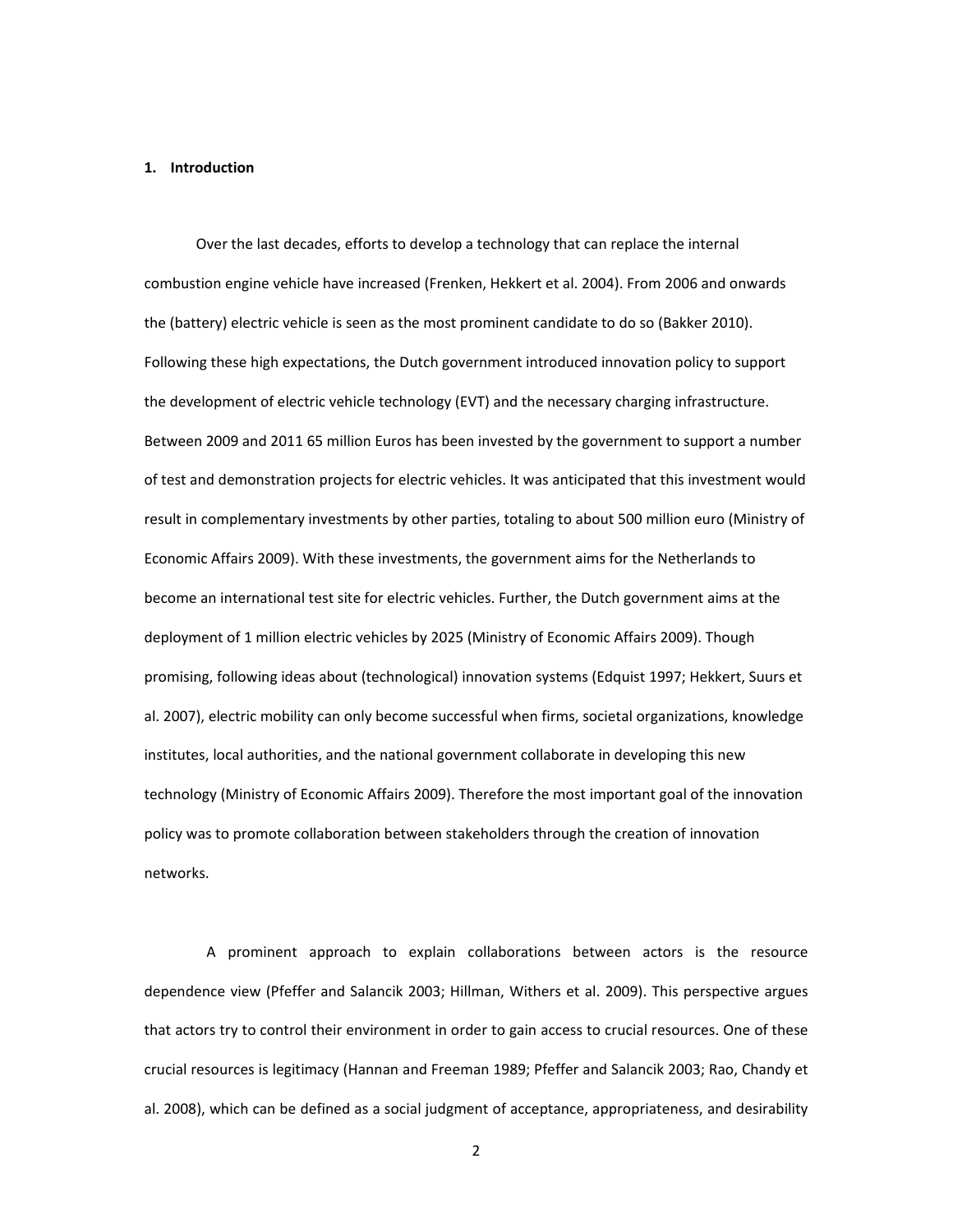#### **1. Introduction**

Over the last decades, efforts to develop a technology that can replace the internal combustion engine vehicle have increased (Frenken, Hekkert et al. 2004). From 2006 and onwards the (battery) electric vehicle is seen as the most prominent candidate to do so (Bakker 2010). Following these high expectations, the Dutch government introduced innovation policy to support the development of electric vehicle technology (EVT) and the necessary charging infrastructure. Between 2009 and 2011 65 million Euros has been invested by the government to support a number of test and demonstration projects for electric vehicles. It was anticipated that this investment would result in complementary investments by other parties, totaling to about 500 million euro (Ministry of Economic Affairs 2009). With these investments, the government aims for the Netherlands to become an international test site for electric vehicles. Further, the Dutch government aims at the deployment of 1 million electric vehicles by 2025 (Ministry of Economic Affairs 2009). Though promising, following ideas about (technological) innovation systems (Edquist 1997; Hekkert, Suurs et al. 2007), electric mobility can only become successful when firms, societal organizations, knowledge institutes, local authorities, and the national government collaborate in developing this new technology (Ministry of Economic Affairs 2009). Therefore the most important goal of the innovation policy was to promote collaboration between stakeholders through the creation of innovation networks.

A prominent approach to explain collaborations between actors is the resource dependence view (Pfeffer and Salancik 2003; Hillman, Withers et al. 2009). This perspective argues that actors try to control their environment in order to gain access to crucial resources. One of these crucial resources is legitimacy (Hannan and Freeman 1989; Pfeffer and Salancik 2003; Rao, Chandy et al. 2008), which can be defined as a social judgment of acceptance, appropriateness, and desirability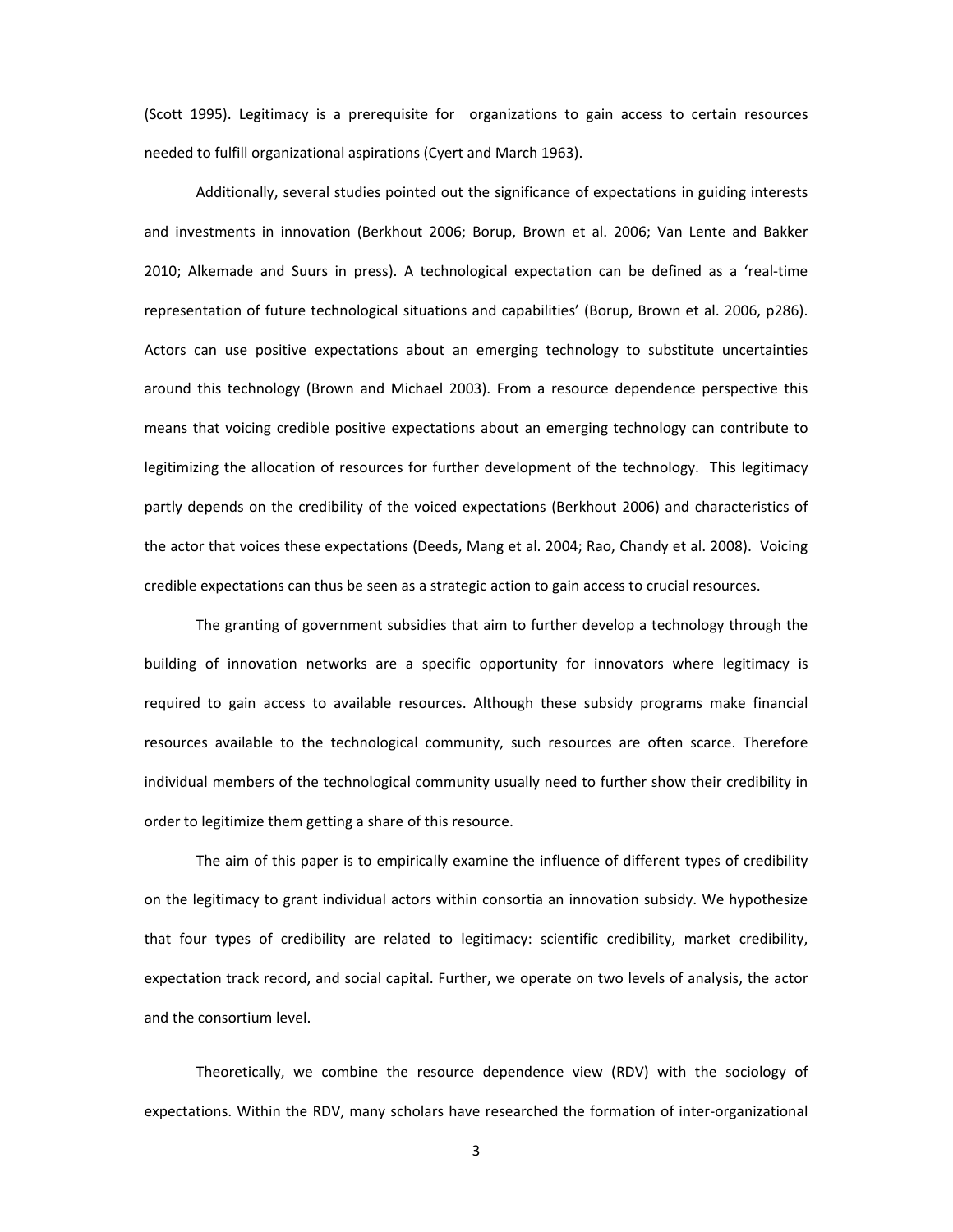(Scott 1995). Legitimacy is a prerequisite for organizations to gain access to certain resources needed to fulfill organizational aspirations (Cyert and March 1963).

Additionally, several studies pointed out the significance of expectations in guiding interests and investments in innovation (Berkhout 2006; Borup, Brown et al. 2006; Van Lente and Bakker 2010; Alkemade and Suurs in press). A technological expectation can be defined as a 'real-time representation of future technological situations and capabilities' (Borup, Brown et al. 2006, p286). Actors can use positive expectations about an emerging technology to substitute uncertainties around this technology (Brown and Michael 2003). From a resource dependence perspective this means that voicing credible positive expectations about an emerging technology can contribute to legitimizing the allocation of resources for further development of the technology. This legitimacy partly depends on the credibility of the voiced expectations (Berkhout 2006) and characteristics of the actor that voices these expectations (Deeds, Mang et al. 2004; Rao, Chandy et al. 2008). Voicing credible expectations can thus be seen as a strategic action to gain access to crucial resources.

The granting of government subsidies that aim to further develop a technology through the building of innovation networks are a specific opportunity for innovators where legitimacy is required to gain access to available resources. Although these subsidy programs make financial resources available to the technological community, such resources are often scarce. Therefore individual members of the technological community usually need to further show their credibility in order to legitimize them getting a share of this resource.

The aim of this paper is to empirically examine the influence of different types of credibility on the legitimacy to grant individual actors within consortia an innovation subsidy. We hypothesize that four types of credibility are related to legitimacy: scientific credibility, market credibility, expectation track record, and social capital. Further, we operate on two levels of analysis, the actor and the consortium level.

Theoretically, we combine the resource dependence view (RDV) with the sociology of expectations. Within the RDV, many scholars have researched the formation of inter-organizational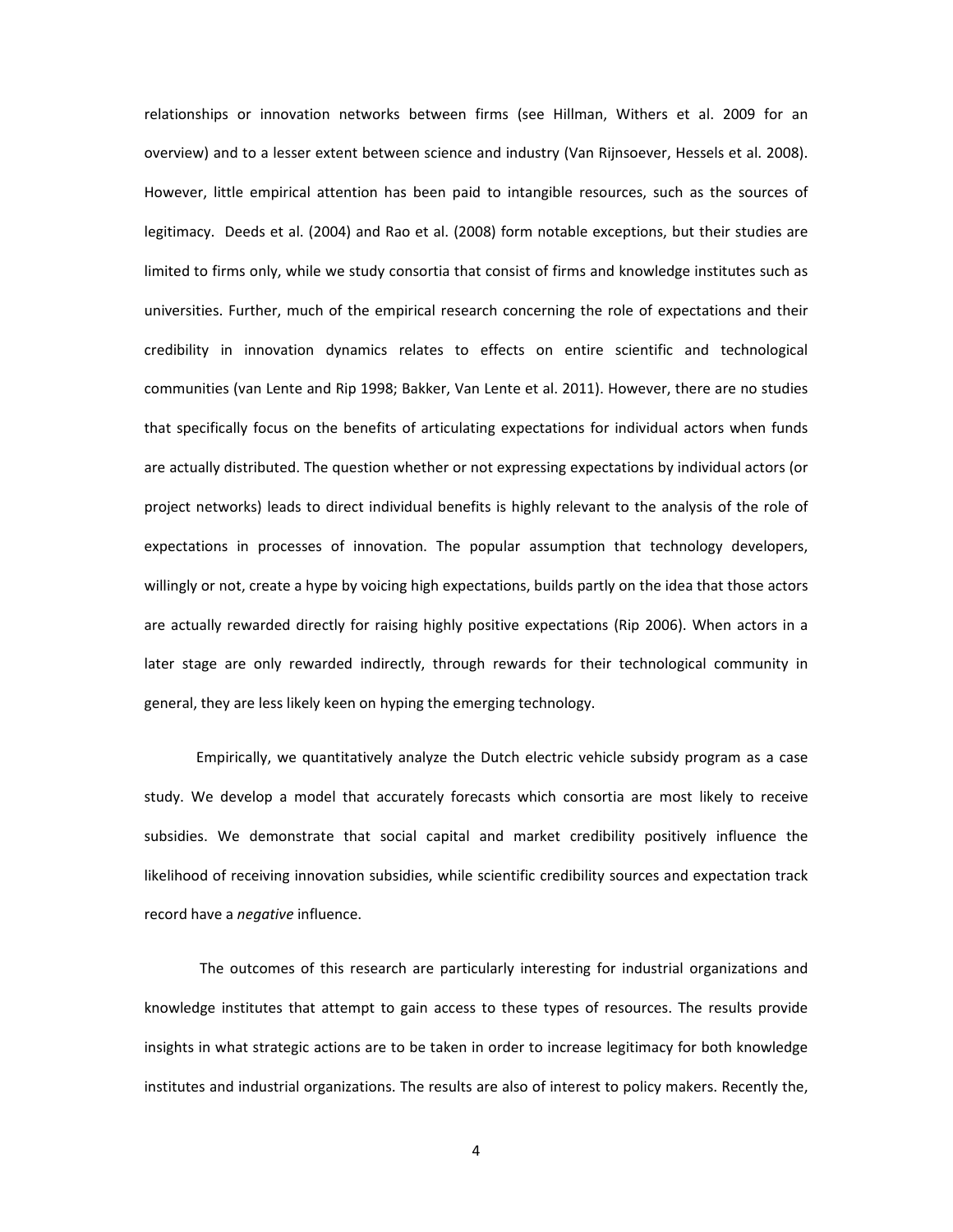relationships or innovation networks between firms (see Hillman, Withers et al. 2009 for an overview) and to a lesser extent between science and industry (Van Rijnsoever, Hessels et al. 2008). However, little empirical attention has been paid to intangible resources, such as the sources of legitimacy. Deeds et al. (2004) and Rao et al. (2008) form notable exceptions, but their studies are limited to firms only, while we study consortia that consist of firms and knowledge institutes such as universities. Further, much of the empirical research concerning the role of expectations and their credibility in innovation dynamics relates to effects on entire scientific and technological communities (van Lente and Rip 1998; Bakker, Van Lente et al. 2011). However, there are no studies that specifically focus on the benefits of articulating expectations for individual actors when funds are actually distributed. The question whether or not expressing expectations by individual actors (or project networks) leads to direct individual benefits is highly relevant to the analysis of the role of expectations in processes of innovation. The popular assumption that technology developers, willingly or not, create a hype by voicing high expectations, builds partly on the idea that those actors are actually rewarded directly for raising highly positive expectations (Rip 2006). When actors in a later stage are only rewarded indirectly, through rewards for their technological community in general, they are less likely keen on hyping the emerging technology.

Empirically, we quantitatively analyze the Dutch electric vehicle subsidy program as a case study. We develop a model that accurately forecasts which consortia are most likely to receive subsidies. We demonstrate that social capital and market credibility positively influence the likelihood of receiving innovation subsidies, while scientific credibility sources and expectation track record have a *negative* influence.

The outcomes of this research are particularly interesting for industrial organizations and knowledge institutes that attempt to gain access to these types of resources. The results provide insights in what strategic actions are to be taken in order to increase legitimacy for both knowledge institutes and industrial organizations. The results are also of interest to policy makers. Recently the,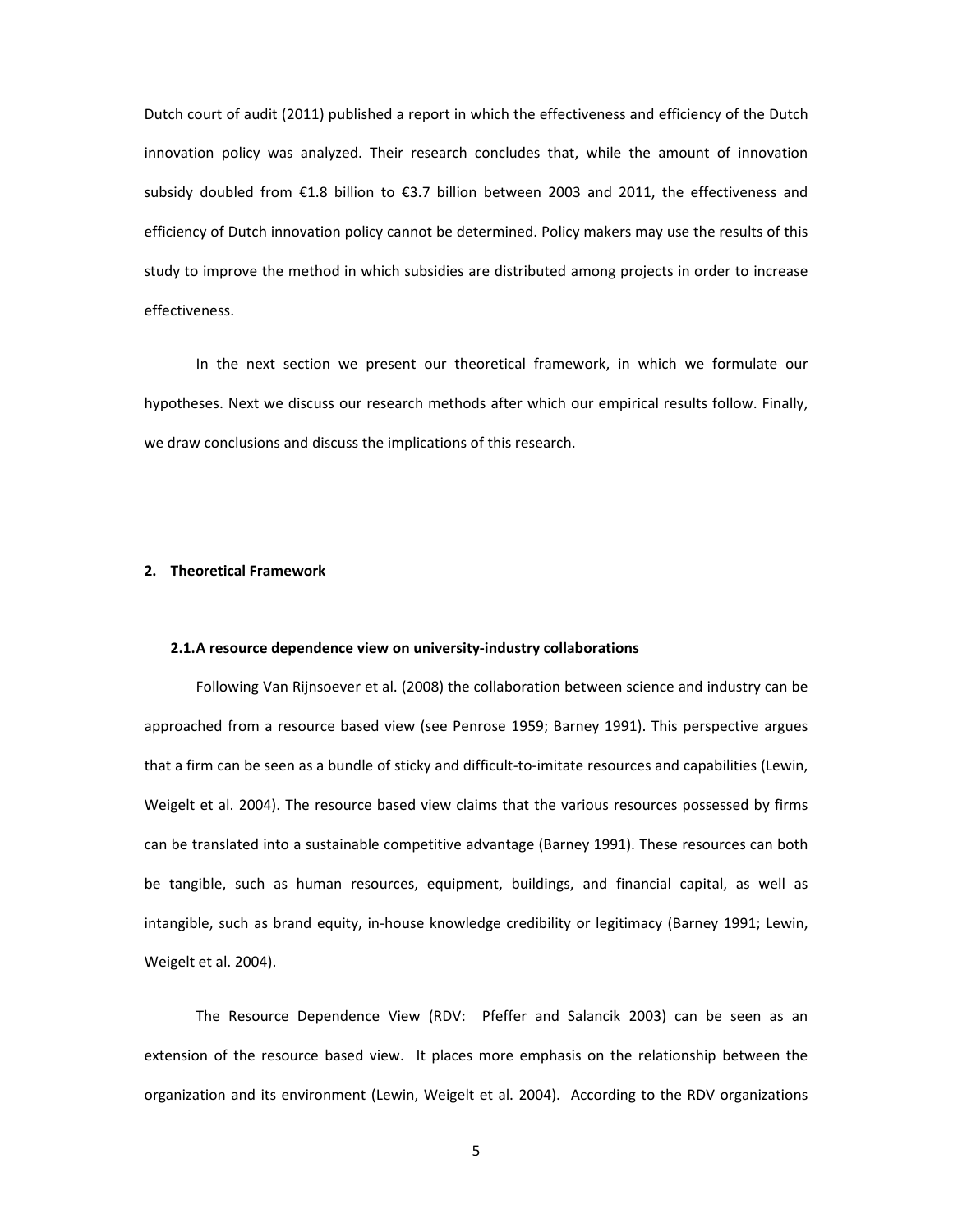Dutch court of audit (2011) published a report in which the effectiveness and efficiency of the Dutch innovation policy was analyzed. Their research concludes that, while the amount of innovation subsidy doubled from €1.8 billion to €3.7 billion between 2003 and 2011, the effectiveness and efficiency of Dutch innovation policy cannot be determined. Policy makers may use the results of this study to improve the method in which subsidies are distributed among projects in order to increase effectiveness.

In the next section we present our theoretical framework, in which we formulate our hypotheses. Next we discuss our research methods after which our empirical results follow. Finally, we draw conclusions and discuss the implications of this research.

## **2. Theoretical Framework**

#### **2.1.A** resource dependence view on university-industry collaborations

Following Van Rijnsoever et al. (2008) the collaboration between science and industry can be approached from a resource based view (see Penrose 1959; Barney 1991). This perspective argues that a firm can be seen as a bundle of sticky and difficult-to-imitate resources and capabilities (Lewin, Weigelt et al. 2004). The resource based view claims that the various resources possessed by firms can be translated into a sustainable competitive advantage (Barney 1991). These resources can both be tangible, such as human resources, equipment, buildings, and financial capital, as well as intangible, such as brand equity, in-house knowledge credibility or legitimacy (Barney 1991; Lewin, Weigelt et al. 2004).

The Resource Dependence View (RDV: Pfeffer and Salancik 2003) can be seen as an extension of the resource based view. It places more emphasis on the relationship between the organization and its environment (Lewin, Weigelt et al. 2004). According to the RDV organizations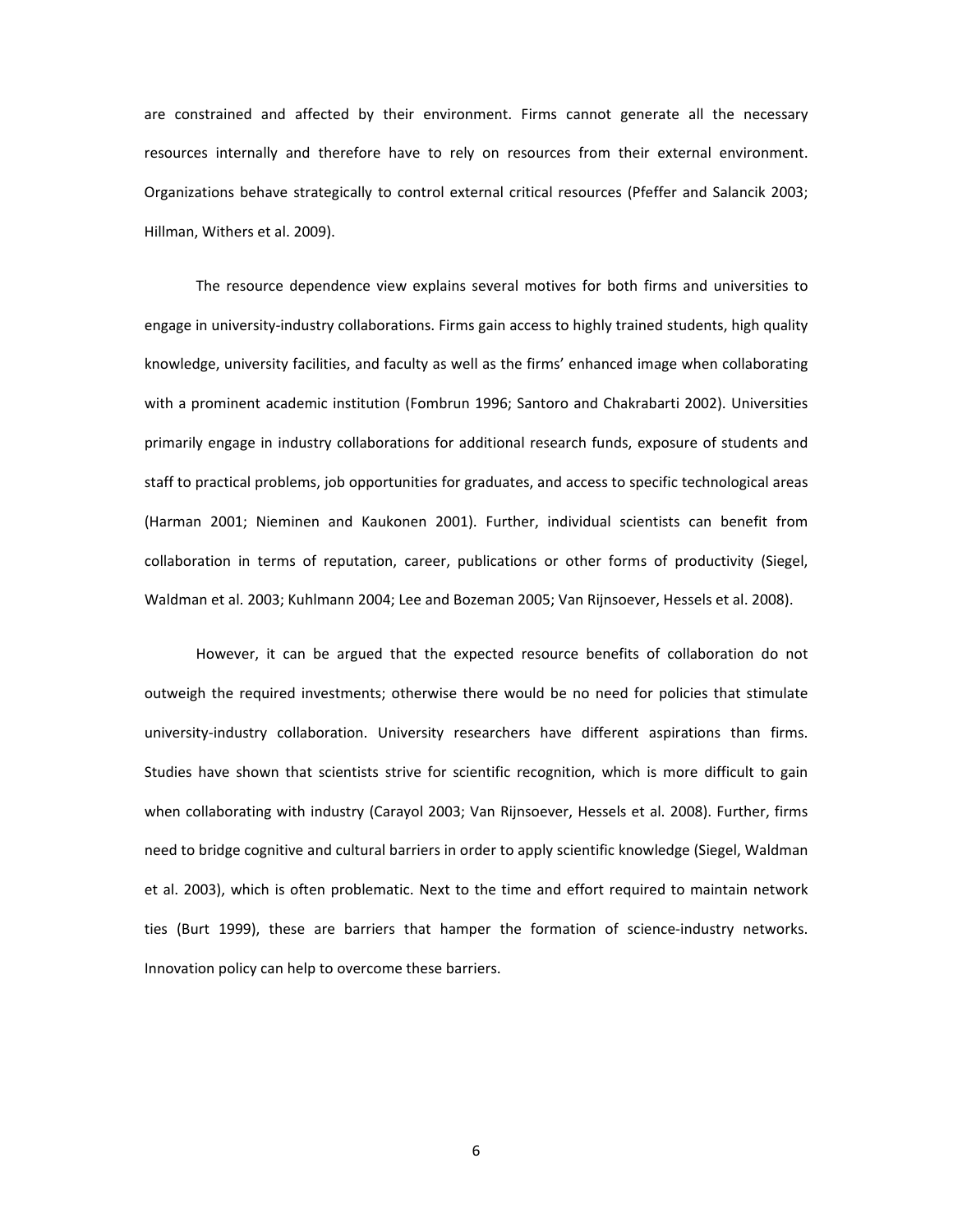are constrained and affected by their environment. Firms cannot generate all the necessary resources internally and therefore have to rely on resources from their external environment. Organizations behave strategically to control external critical resources (Pfeffer and Salancik 2003; Hillman, Withers et al. 2009).

The resource dependence view explains several motives for both firms and universities to engage in university-industry collaborations. Firms gain access to highly trained students, high quality knowledge, university facilities, and faculty as well as the firms' enhanced image when collaborating with a prominent academic institution (Fombrun 1996; Santoro and Chakrabarti 2002). Universities primarily engage in industry collaborations for additional research funds, exposure of students and staff to practical problems, job opportunities for graduates, and access to specific technological areas (Harman 2001; Nieminen and Kaukonen 2001). Further, individual scientists can benefit from collaboration in terms of reputation, career, publications or other forms of productivity (Siegel, Waldman et al. 2003; Kuhlmann 2004; Lee and Bozeman 2005; Van Rijnsoever, Hessels et al. 2008).

However, it can be argued that the expected resource benefits of collaboration do not outweigh the required investments; otherwise there would be no need for policies that stimulate university-industry collaboration. University researchers have different aspirations than firms. Studies have shown that scientists strive for scientific recognition, which is more difficult to gain when collaborating with industry (Carayol 2003; Van Rijnsoever, Hessels et al. 2008). Further, firms need to bridge cognitive and cultural barriers in order to apply scientific knowledge (Siegel, Waldman et al. 2003), which is often problematic. Next to the time and effort required to maintain network ties (Burt 1999), these are barriers that hamper the formation of science-industry networks. Innovation policy can help to overcome these barriers.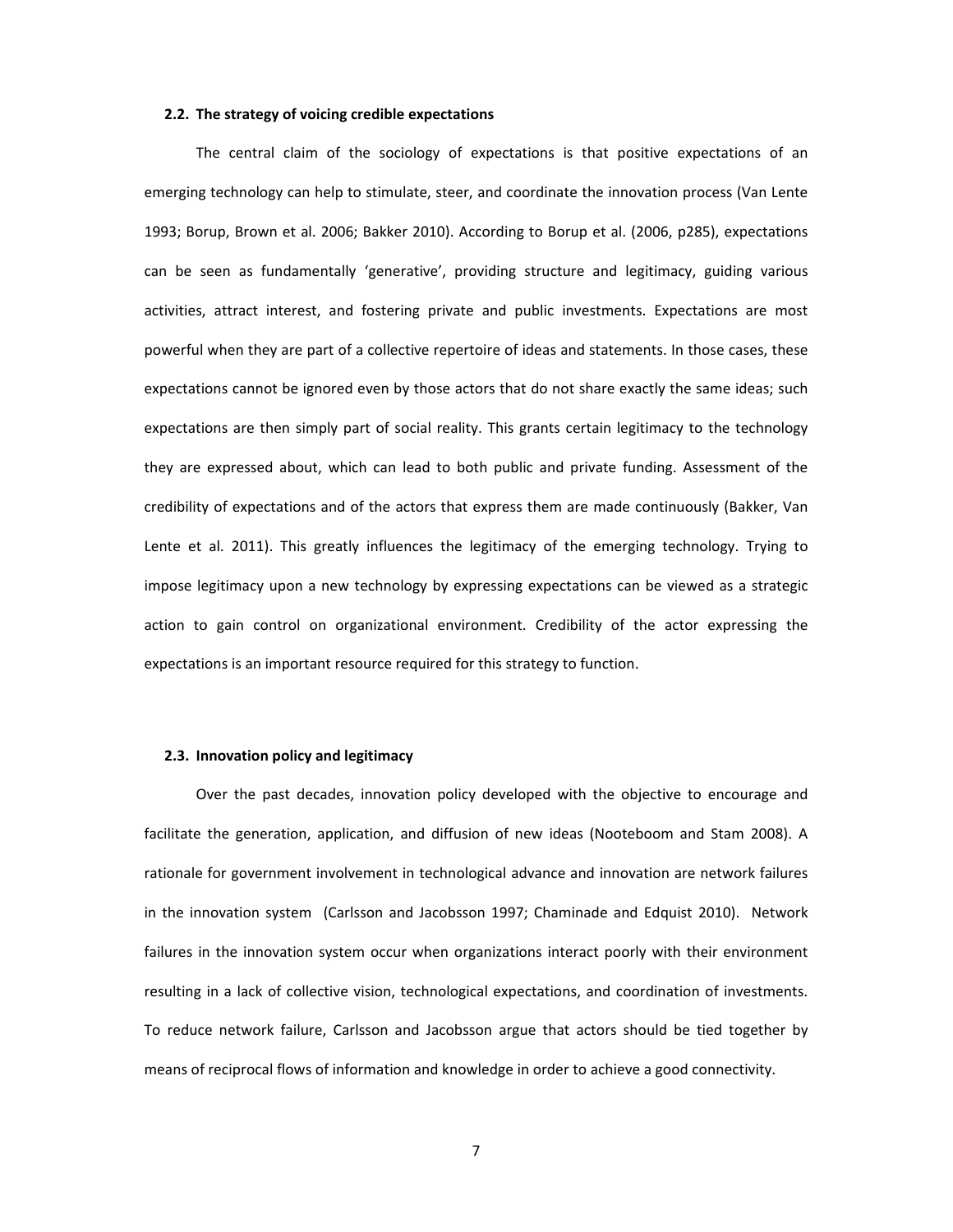#### **2.2. The strategy of voicing credible expectations**

The central claim of the sociology of expectations is that positive expectations of an emerging technology can help to stimulate, steer, and coordinate the innovation process (Van Lente 1993; Borup, Brown et al. 2006; Bakker 2010). According to Borup et al. (2006, p285), expectations can be seen as fundamentally 'generative', providing structure and legitimacy, guiding various activities, attract interest, and fostering private and public investments. Expectations are most powerful when they are part of a collective repertoire of ideas and statements. In those cases, these expectations cannot be ignored even by those actors that do not share exactly the same ideas; such expectations are then simply part of social reality. This grants certain legitimacy to the technology they are expressed about, which can lead to both public and private funding. Assessment of the credibility of expectations and of the actors that express them are made continuously (Bakker, Van Lente et al. 2011). This greatly influences the legitimacy of the emerging technology. Trying to impose legitimacy upon a new technology by expressing expectations can be viewed as a strategic action to gain control on organizational environment. Credibility of the actor expressing the expectations is an important resource required for this strategy to function.

#### **2.3. Innovation policy and legitimacy**

Over the past decades, innovation policy developed with the objective to encourage and facilitate the generation, application, and diffusion of new ideas (Nooteboom and Stam 2008). A rationale for government involvement in technological advance and innovation are network failures in the innovation system (Carlsson and Jacobsson 1997; Chaminade and Edquist 2010). Network failures in the innovation system occur when organizations interact poorly with their environment resulting in a lack of collective vision, technological expectations, and coordination of investments. To reduce network failure, Carlsson and Jacobsson argue that actors should be tied together by means of reciprocal flows of information and knowledge in order to achieve a good connectivity.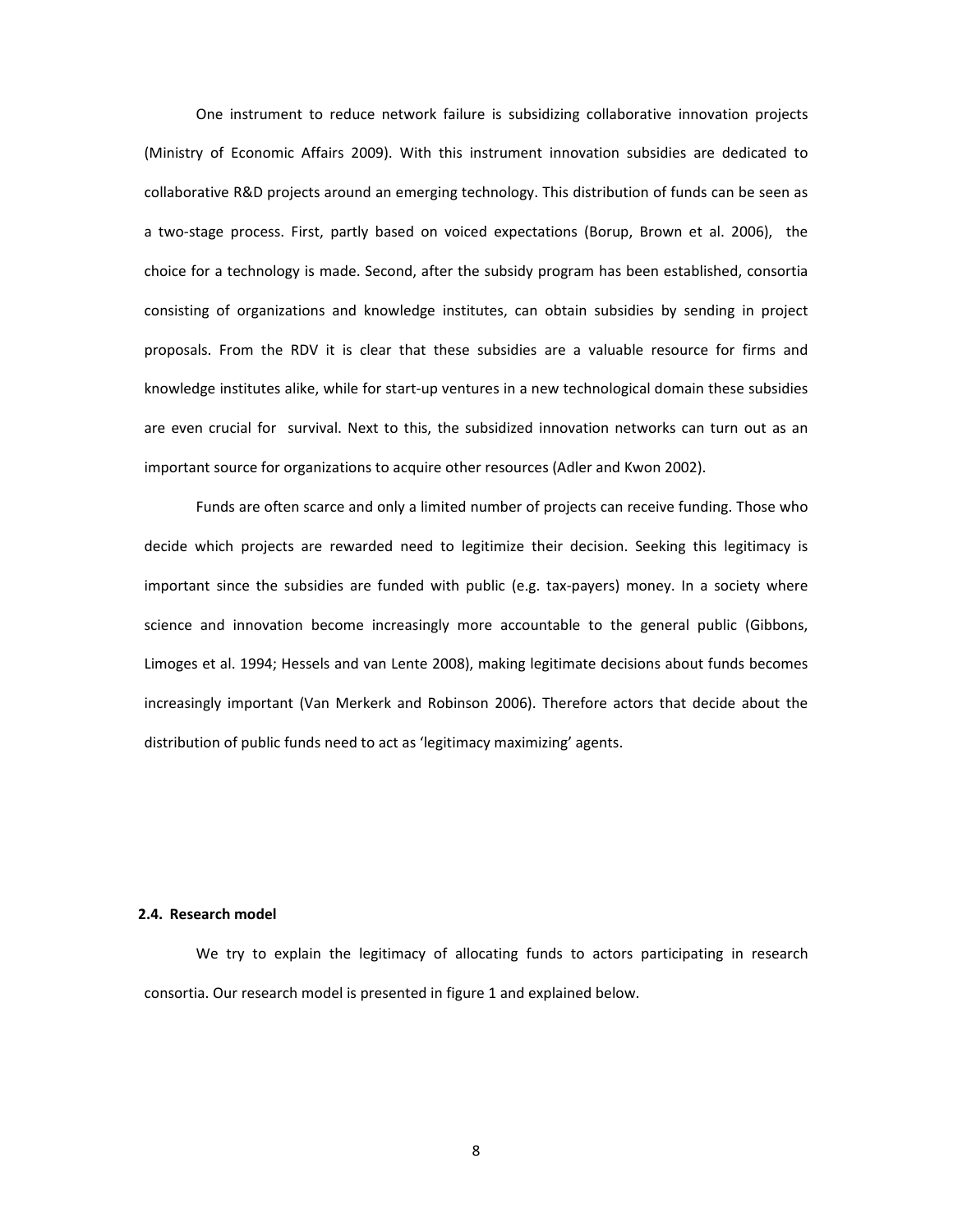One instrument to reduce network failure is subsidizing collaborative innovation projects (Ministry of Economic Affairs 2009). With this instrument innovation subsidies are dedicated to collaborative R&D projects around an emerging technology. This distribution of funds can be seen as a two-stage process. First, partly based on voiced expectations (Borup, Brown et al. 2006), the choice for a technology is made. Second, after the subsidy program has been established, consortia consisting of organizations and knowledge institutes, can obtain subsidies by sending in project proposals. From the RDV it is clear that these subsidies are a valuable resource for firms and knowledge institutes alike, while for start-up ventures in a new technological domain these subsidies are even crucial for survival. Next to this, the subsidized innovation networks can turn out as an important source for organizations to acquire other resources (Adler and Kwon 2002).

Funds are often scarce and only a limited number of projects can receive funding. Those who decide which projects are rewarded need to legitimize their decision. Seeking this legitimacy is important since the subsidies are funded with public (e.g. tax-payers) money. In a society where science and innovation become increasingly more accountable to the general public (Gibbons, Limoges et al. 1994; Hessels and van Lente 2008), making legitimate decisions about funds becomes increasingly important (Van Merkerk and Robinson 2006). Therefore actors that decide about the distribution of public funds need to act as 'legitimacy maximizing' agents.

### **2.4. Research model**

We try to explain the legitimacy of allocating funds to actors participating in research consortia. Our research model is presented in figure 1 and explained below.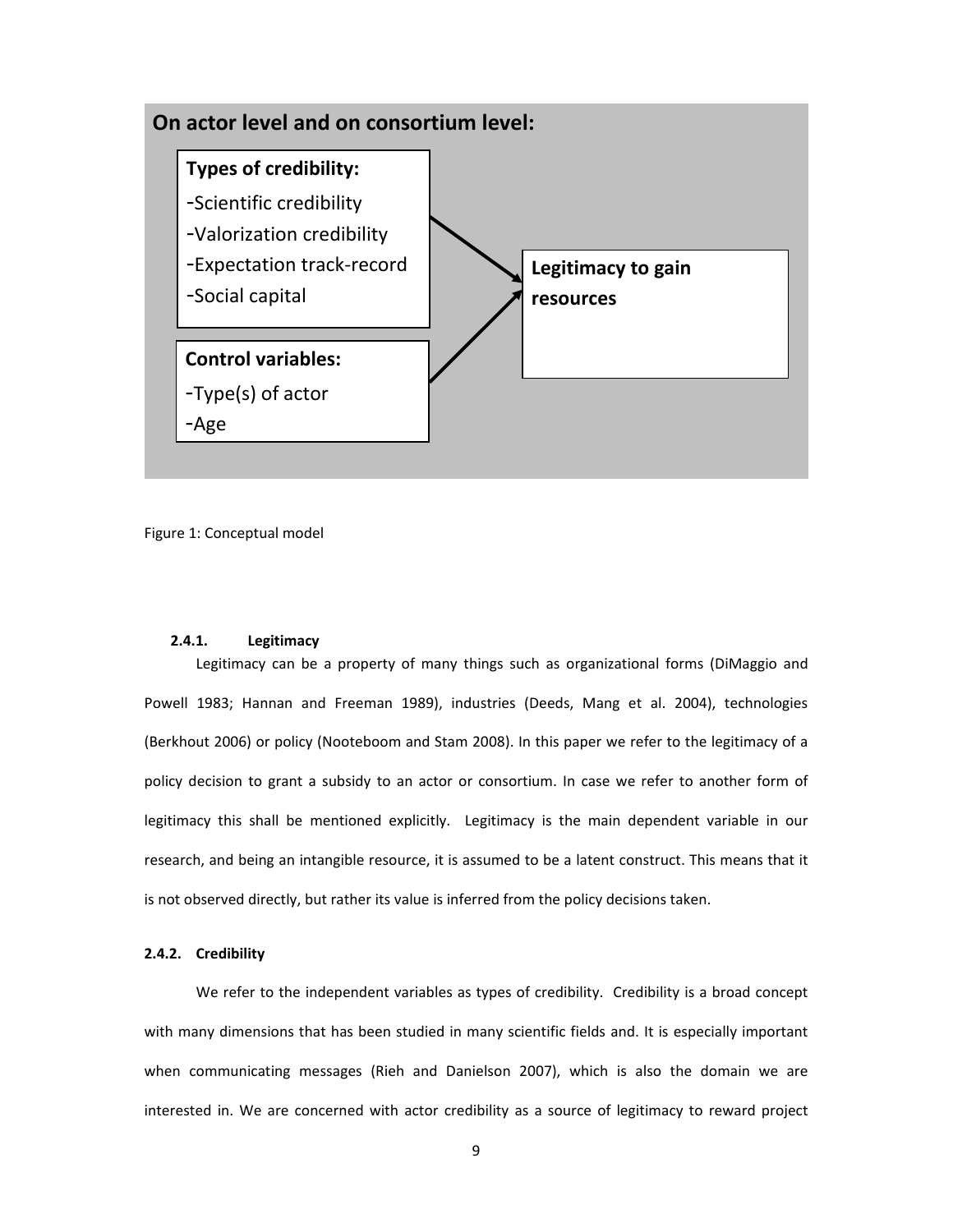

Figure 1: Conceptual model

# **2.4.1. Legitimacy**

Legitimacy can be a property of many things such as organizational forms (DiMaggio and Powell 1983; Hannan and Freeman 1989), industries (Deeds, Mang et al. 2004), technologies (Berkhout 2006) or policy (Nooteboom and Stam 2008). In this paper we refer to the legitimacy of a policy decision to grant a subsidy to an actor or consortium. In case we refer to another form of legitimacy this shall be mentioned explicitly. Legitimacy is the main dependent variable in our research, and being an intangible resource, it is assumed to be a latent construct. This means that it is not observed directly, but rather its value is inferred from the policy decisions taken.

### **2.4.2. Credibility**

We refer to the independent variables as types of credibility. Credibility is a broad concept with many dimensions that has been studied in many scientific fields and. It is especially important when communicating messages (Rieh and Danielson 2007), which is also the domain we are interested in. We are concerned with actor credibility as a source of legitimacy to reward project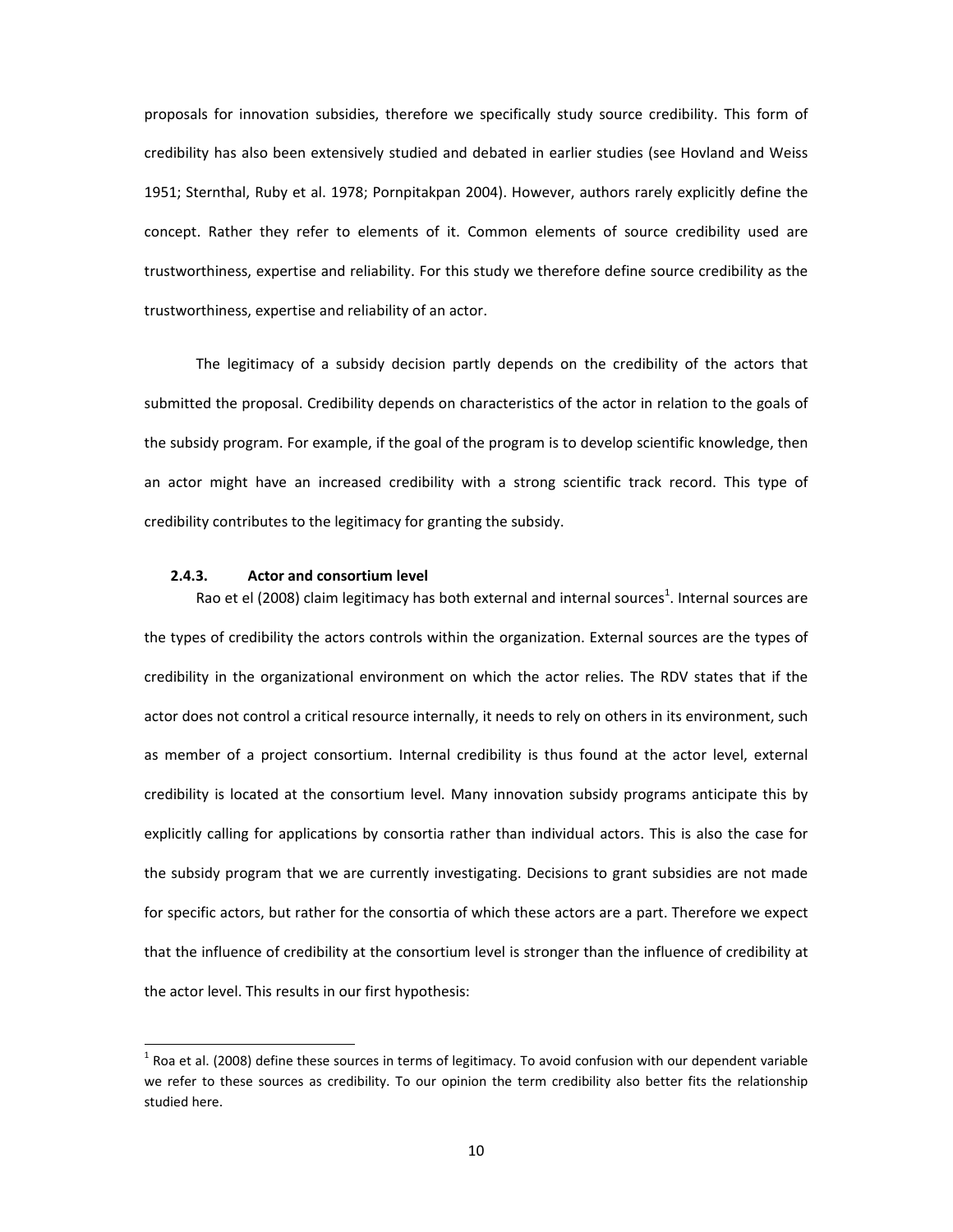proposals for innovation subsidies, therefore we specifically study source credibility. This form of credibility has also been extensively studied and debated in earlier studies (see Hovland and Weiss 1951; Sternthal, Ruby et al. 1978; Pornpitakpan 2004). However, authors rarely explicitly define the concept. Rather they refer to elements of it. Common elements of source credibility used are trustworthiness, expertise and reliability. For this study we therefore define source credibility as the trustworthiness, expertise and reliability of an actor.

The legitimacy of a subsidy decision partly depends on the credibility of the actors that submitted the proposal. Credibility depends on characteristics of the actor in relation to the goals of the subsidy program. For example, if the goal of the program is to develop scientific knowledge, then an actor might have an increased credibility with a strong scientific track record. This type of credibility contributes to the legitimacy for granting the subsidy.

#### **2.4.3. Actor and consortium level**

Rao et el (2008) claim legitimacy has both external and internal sources<sup>1</sup>. Internal sources are the types of credibility the actors controls within the organization. External sources are the types of credibility in the organizational environment on which the actor relies. The RDV states that if the actor does not control a critical resource internally, it needs to rely on others in its environment, such as member of a project consortium. Internal credibility is thus found at the actor level, external credibility is located at the consortium level. Many innovation subsidy programs anticipate this by explicitly calling for applications by consortia rather than individual actors. This is also the case for the subsidy program that we are currently investigating. Decisions to grant subsidies are not made for specific actors, but rather for the consortia of which these actors are a part. Therefore we expect that the influence of credibility at the consortium level is stronger than the influence of credibility at the actor level. This results in our first hypothesis:

 $^1$  Roa et al. (2008) define these sources in terms of legitimacy. To avoid confusion with our dependent variable we refer to these sources as credibility. To our opinion the term credibility also better fits the relationship studied here.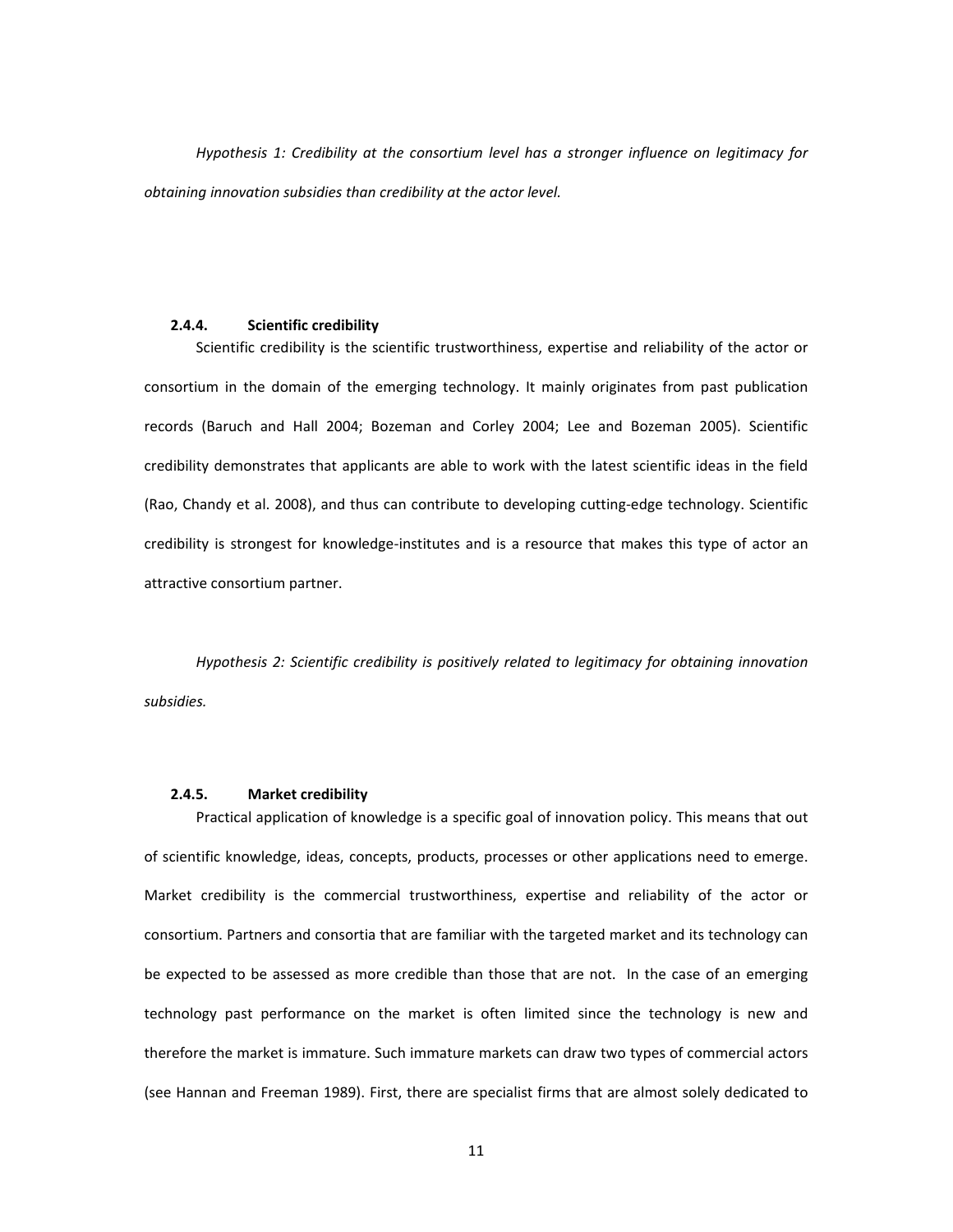*Hypothesis 1: Credibility at the consortium level has a stronger influence on legitimacy for obtaining innovation subsidies than credibility at the actor level.* 

#### **2.4.4. Scientific credibility**

Scientific credibility is the scientific trustworthiness, expertise and reliability of the actor or consortium in the domain of the emerging technology. It mainly originates from past publication records (Baruch and Hall 2004; Bozeman and Corley 2004; Lee and Bozeman 2005). Scientific credibility demonstrates that applicants are able to work with the latest scientific ideas in the field (Rao, Chandy et al. 2008), and thus can contribute to developing cutting-edge technology. Scientific credibility is strongest for knowledge-institutes and is a resource that makes this type of actor an attractive consortium partner.

*Hypothesis 2: Scientific credibility is positively related to legitimacy for obtaining innovation subsidies.*

# **2.4.5. Market credibility**

Practical application of knowledge is a specific goal of innovation policy. This means that out of scientific knowledge, ideas, concepts, products, processes or other applications need to emerge. Market credibility is the commercial trustworthiness, expertise and reliability of the actor or consortium. Partners and consortia that are familiar with the targeted market and its technology can be expected to be assessed as more credible than those that are not. In the case of an emerging technology past performance on the market is often limited since the technology is new and therefore the market is immature. Such immature markets can draw two types of commercial actors (see Hannan and Freeman 1989). First, there are specialist firms that are almost solely dedicated to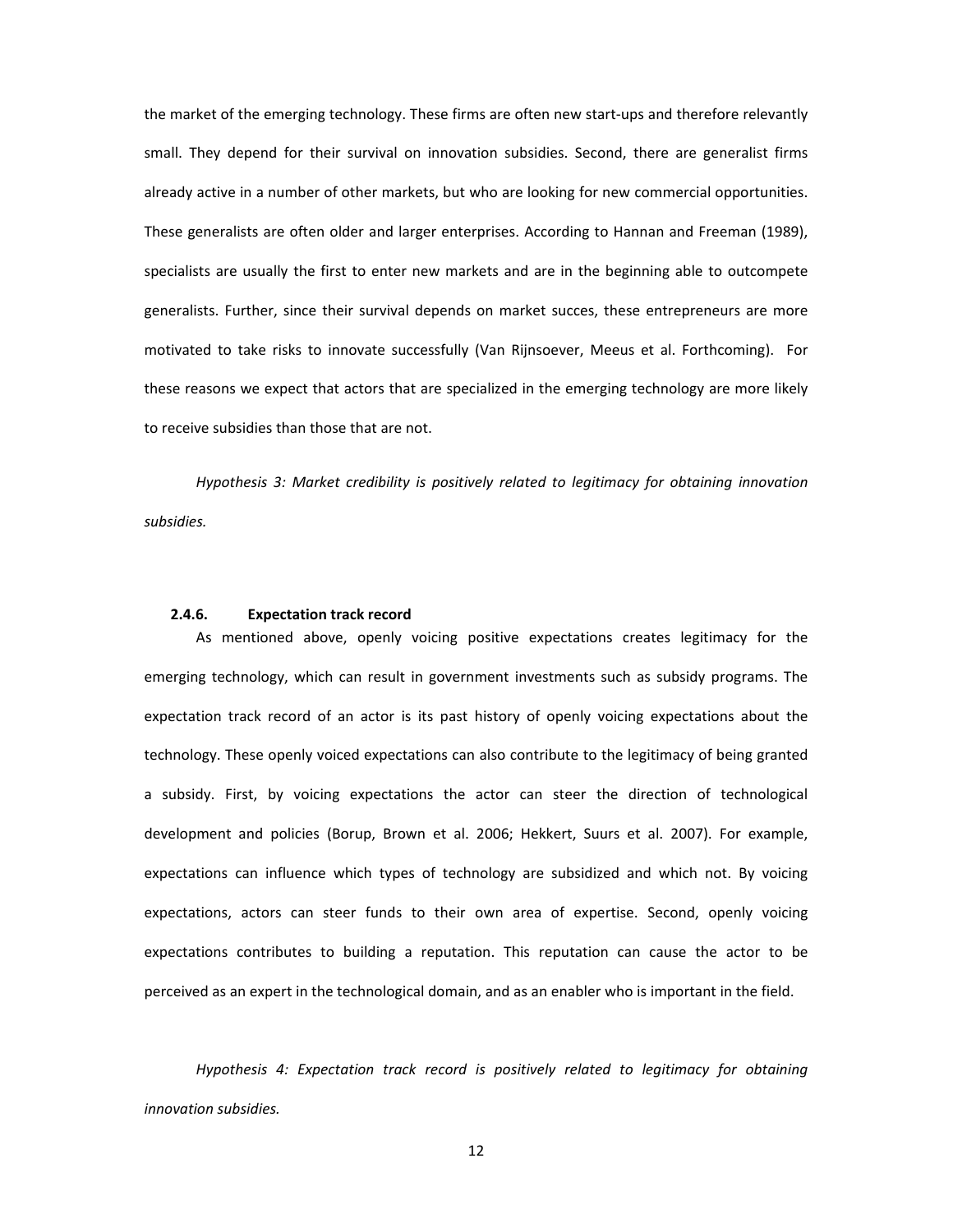the market of the emerging technology. These firms are often new start-ups and therefore relevantly small. They depend for their survival on innovation subsidies. Second, there are generalist firms already active in a number of other markets, but who are looking for new commercial opportunities. These generalists are often older and larger enterprises. According to Hannan and Freeman (1989), specialists are usually the first to enter new markets and are in the beginning able to outcompete generalists. Further, since their survival depends on market succes, these entrepreneurs are more motivated to take risks to innovate successfully (Van Rijnsoever, Meeus et al. Forthcoming). For these reasons we expect that actors that are specialized in the emerging technology are more likely to receive subsidies than those that are not.

*Hypothesis 3: Market credibility is positively related to legitimacy for obtaining innovation subsidies.*

## **2.4.6. Expectation track record**

As mentioned above, openly voicing positive expectations creates legitimacy for the emerging technology, which can result in government investments such as subsidy programs. The expectation track record of an actor is its past history of openly voicing expectations about the technology. These openly voiced expectations can also contribute to the legitimacy of being granted a subsidy. First, by voicing expectations the actor can steer the direction of technological development and policies (Borup, Brown et al. 2006; Hekkert, Suurs et al. 2007). For example, expectations can influence which types of technology are subsidized and which not. By voicing expectations, actors can steer funds to their own area of expertise. Second, openly voicing expectations contributes to building a reputation. This reputation can cause the actor to be perceived as an expert in the technological domain, and as an enabler who is important in the field.

*Hypothesis 4: Expectation track record is positively related to legitimacy for obtaining innovation subsidies.*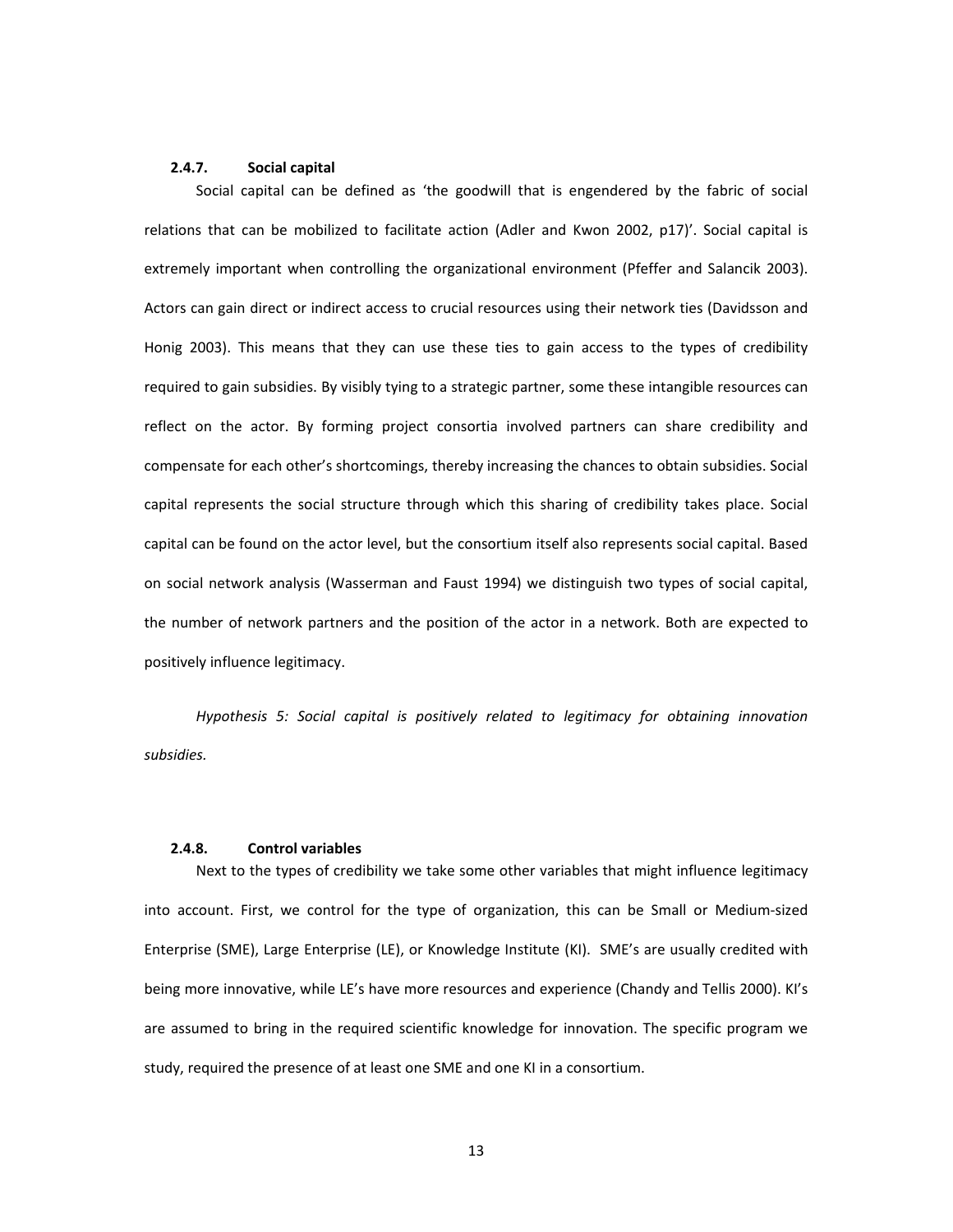#### **2.4.7. Social capital**

Social capital can be defined as 'the goodwill that is engendered by the fabric of social relations that can be mobilized to facilitate action (Adler and Kwon 2002, p17)'. Social capital is extremely important when controlling the organizational environment (Pfeffer and Salancik 2003). Actors can gain direct or indirect access to crucial resources using their network ties (Davidsson and Honig 2003). This means that they can use these ties to gain access to the types of credibility required to gain subsidies. By visibly tying to a strategic partner, some these intangible resources can reflect on the actor. By forming project consortia involved partners can share credibility and compensate for each other's shortcomings, thereby increasing the chances to obtain subsidies. Social capital represents the social structure through which this sharing of credibility takes place. Social capital can be found on the actor level, but the consortium itself also represents social capital. Based on social network analysis (Wasserman and Faust 1994) we distinguish two types of social capital, the number of network partners and the position of the actor in a network. Both are expected to positively influence legitimacy.

*Hypothesis 5: Social capital is positively related to legitimacy for obtaining innovation subsidies.*

## **2.4.8. Control variables**

Next to the types of credibility we take some other variables that might influence legitimacy into account. First, we control for the type of organization, this can be Small or Medium-sized Enterprise (SME), Large Enterprise (LE), or Knowledge Institute (KI). SME's are usually credited with being more innovative, while LE's have more resources and experience (Chandy and Tellis 2000). KI's are assumed to bring in the required scientific knowledge for innovation. The specific program we study, required the presence of at least one SME and one KI in a consortium.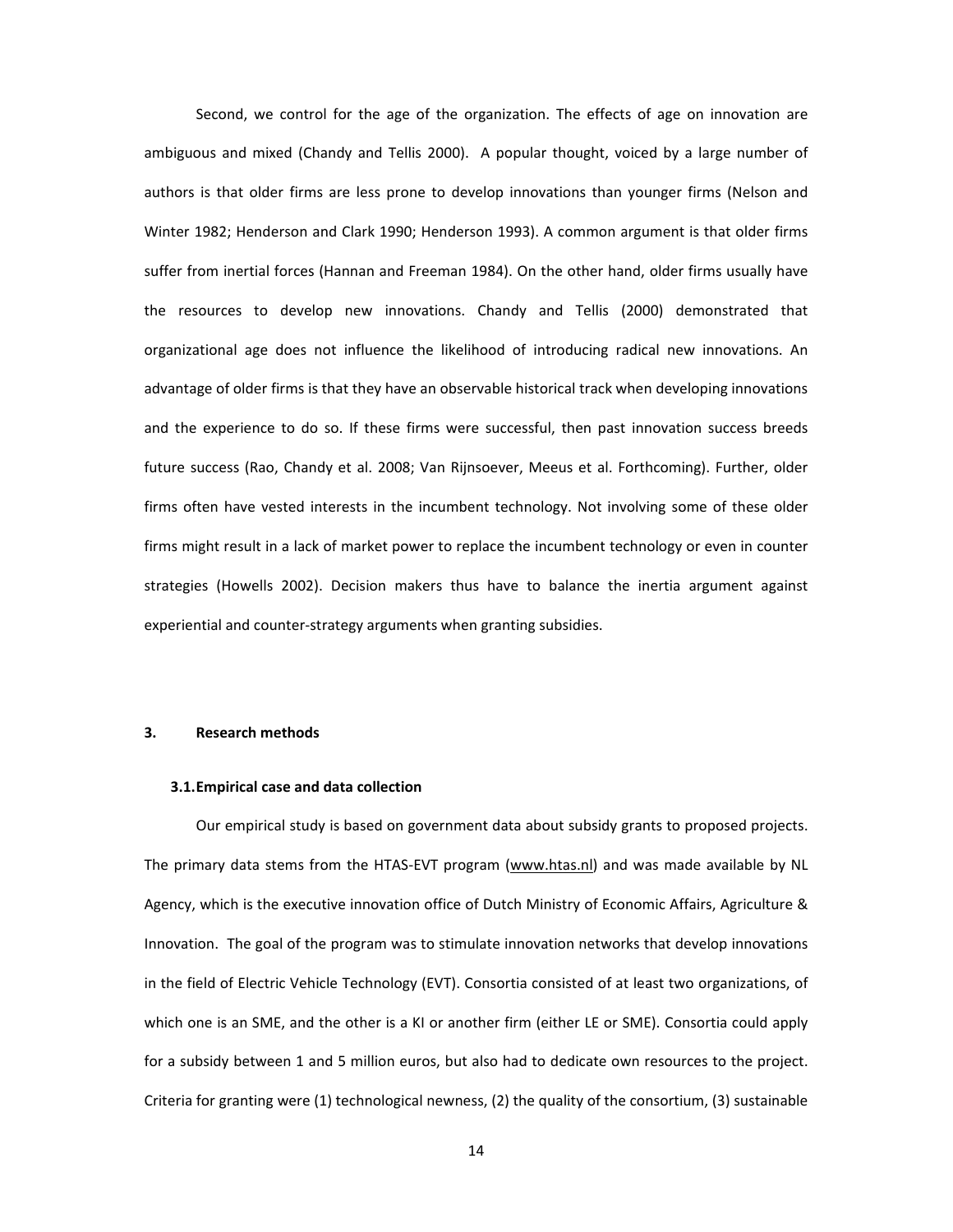Second, we control for the age of the organization. The effects of age on innovation are ambiguous and mixed (Chandy and Tellis 2000). A popular thought, voiced by a large number of authors is that older firms are less prone to develop innovations than younger firms (Nelson and Winter 1982; Henderson and Clark 1990; Henderson 1993). A common argument is that older firms suffer from inertial forces (Hannan and Freeman 1984). On the other hand, older firms usually have the resources to develop new innovations. Chandy and Tellis (2000) demonstrated that organizational age does not influence the likelihood of introducing radical new innovations. An advantage of older firms is that they have an observable historical track when developing innovations and the experience to do so. If these firms were successful, then past innovation success breeds future success (Rao, Chandy et al. 2008; Van Rijnsoever, Meeus et al. Forthcoming). Further, older firms often have vested interests in the incumbent technology. Not involving some of these older firms might result in a lack of market power to replace the incumbent technology or even in counter strategies (Howells 2002). Decision makers thus have to balance the inertia argument against experiential and counter-strategy arguments when granting subsidies.

## **3. Research methods**

#### **3.1.Empirical case and data collection**

Our empirical study is based on government data about subsidy grants to proposed projects. The primary data stems from the HTAS-EVT program (www.htas.nl) and was made available by NL Agency, which is the executive innovation office of Dutch Ministry of Economic Affairs, Agriculture & Innovation. The goal of the program was to stimulate innovation networks that develop innovations in the field of Electric Vehicle Technology (EVT). Consortia consisted of at least two organizations, of which one is an SME, and the other is a KI or another firm (either LE or SME). Consortia could apply for a subsidy between 1 and 5 million euros, but also had to dedicate own resources to the project. Criteria for granting were (1) technological newness, (2) the quality of the consortium, (3) sustainable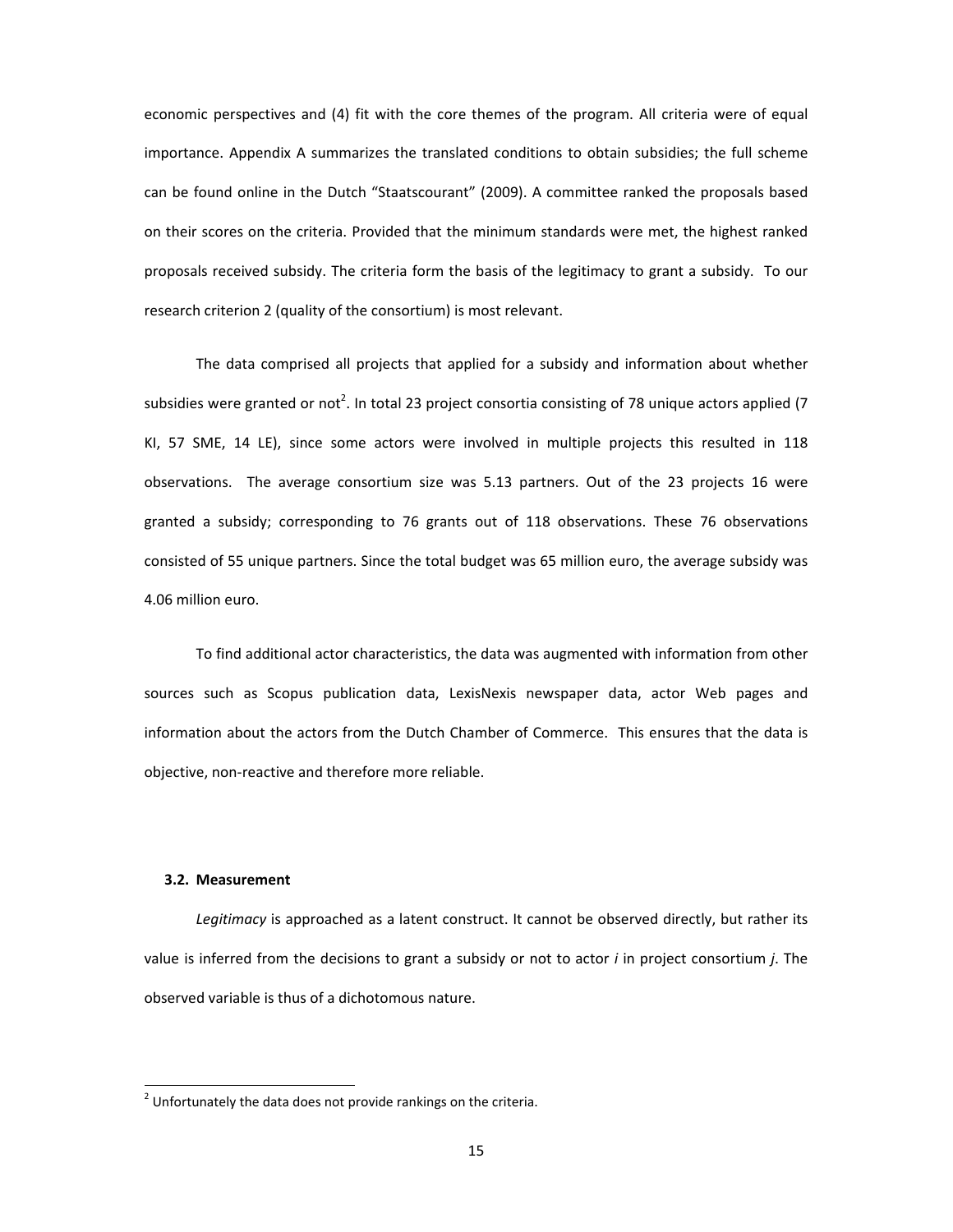economic perspectives and (4) fit with the core themes of the program. All criteria were of equal importance. Appendix A summarizes the translated conditions to obtain subsidies; the full scheme can be found online in the Dutch "Staatscourant" (2009). A committee ranked the proposals based on their scores on the criteria. Provided that the minimum standards were met, the highest ranked proposals received subsidy. The criteria form the basis of the legitimacy to grant a subsidy. To our research criterion 2 (quality of the consortium) is most relevant.

The data comprised all projects that applied for a subsidy and information about whether subsidies were granted or not<sup>2</sup>. In total 23 project consortia consisting of 78 unique actors applied (7 KI, 57 SME, 14 LE), since some actors were involved in multiple projects this resulted in 118 observations. The average consortium size was 5.13 partners. Out of the 23 projects 16 were granted a subsidy; corresponding to 76 grants out of 118 observations. These 76 observations consisted of 55 unique partners. Since the total budget was 65 million euro, the average subsidy was 4.06 million euro.

To find additional actor characteristics, the data was augmented with information from other sources such as Scopus publication data, LexisNexis newspaper data, actor Web pages and information about the actors from the Dutch Chamber of Commerce. This ensures that the data is objective, non-reactive and therefore more reliable.

# **3.2. Measurement**

*Legitimacy* is approached as a latent construct. It cannot be observed directly, but rather its value is inferred from the decisions to grant a subsidy or not to actor *i* in project consortium *j*. The observed variable is thus of a dichotomous nature.

 $2$  Unfortunately the data does not provide rankings on the criteria.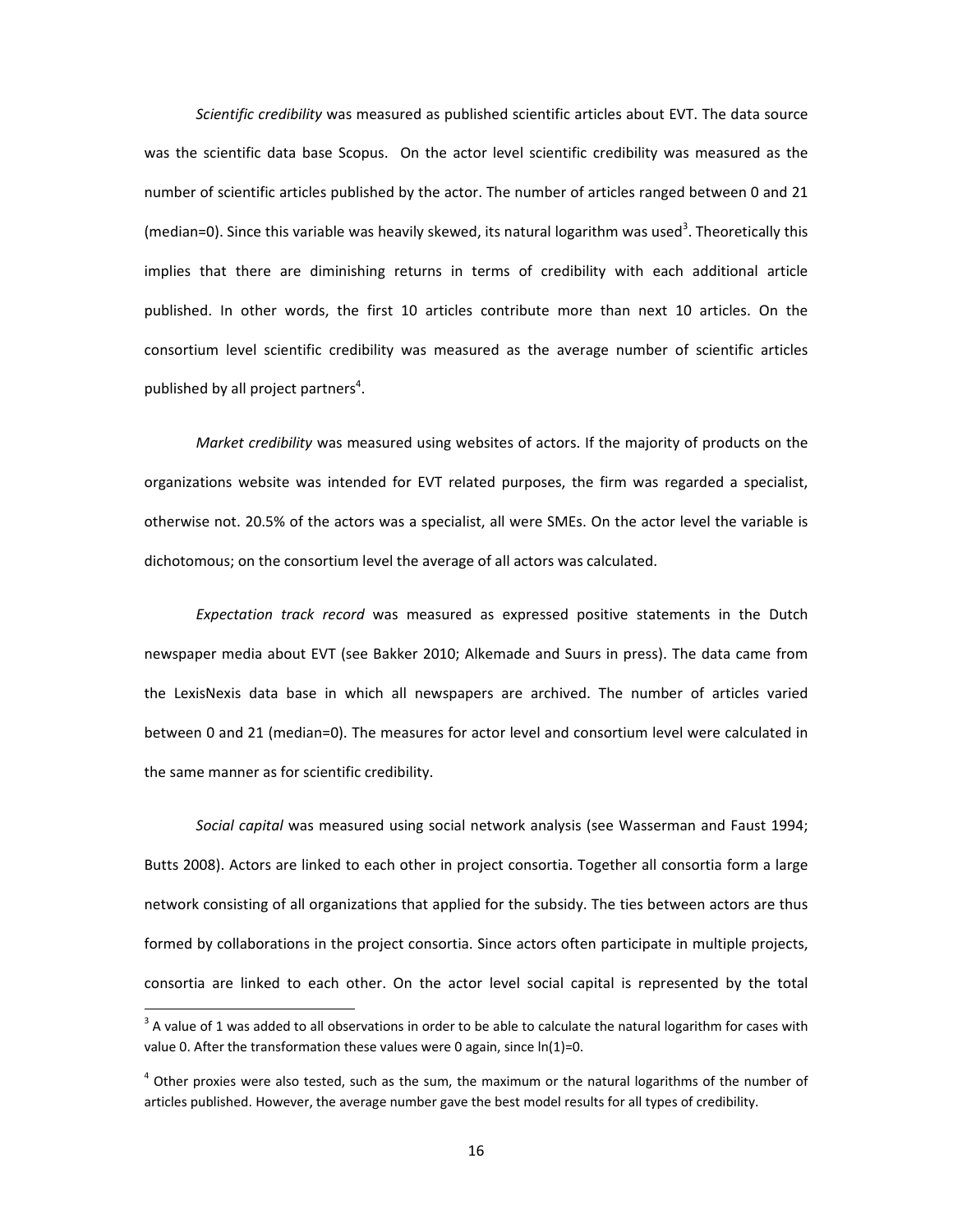*Scientific credibility* was measured as published scientific articles about EVT. The data source was the scientific data base Scopus. On the actor level scientific credibility was measured as the number of scientific articles published by the actor. The number of articles ranged between 0 and 21 (median=0). Since this variable was heavily skewed, its natural logarithm was used<sup>3</sup>. Theoretically this implies that there are diminishing returns in terms of credibility with each additional article published. In other words, the first 10 articles contribute more than next 10 articles. On the consortium level scientific credibility was measured as the average number of scientific articles published by all project partners<sup>4</sup>.

*Market credibility* was measured using websites of actors. If the majority of products on the organizations website was intended for EVT related purposes, the firm was regarded a specialist, otherwise not. 20.5% of the actors was a specialist, all were SMEs. On the actor level the variable is dichotomous; on the consortium level the average of all actors was calculated.

*Expectation track record* was measured as expressed positive statements in the Dutch newspaper media about EVT (see Bakker 2010; Alkemade and Suurs in press). The data came from the LexisNexis data base in which all newspapers are archived. The number of articles varied between 0 and 21 (median=0). The measures for actor level and consortium level were calculated in the same manner as for scientific credibility.

*Social capital* was measured using social network analysis (see Wasserman and Faust 1994; Butts 2008). Actors are linked to each other in project consortia. Together all consortia form a large network consisting of all organizations that applied for the subsidy. The ties between actors are thus formed by collaborations in the project consortia. Since actors often participate in multiple projects, consortia are linked to each other. On the actor level social capital is represented by the total

 $^3$  A value of 1 was added to all observations in order to be able to calculate the natural logarithm for cases with value 0. After the transformation these values were 0 again, since  $ln(1)=0$ .

 $<sup>4</sup>$  Other proxies were also tested, such as the sum, the maximum or the natural logarithms of the number of</sup> articles published. However, the average number gave the best model results for all types of credibility.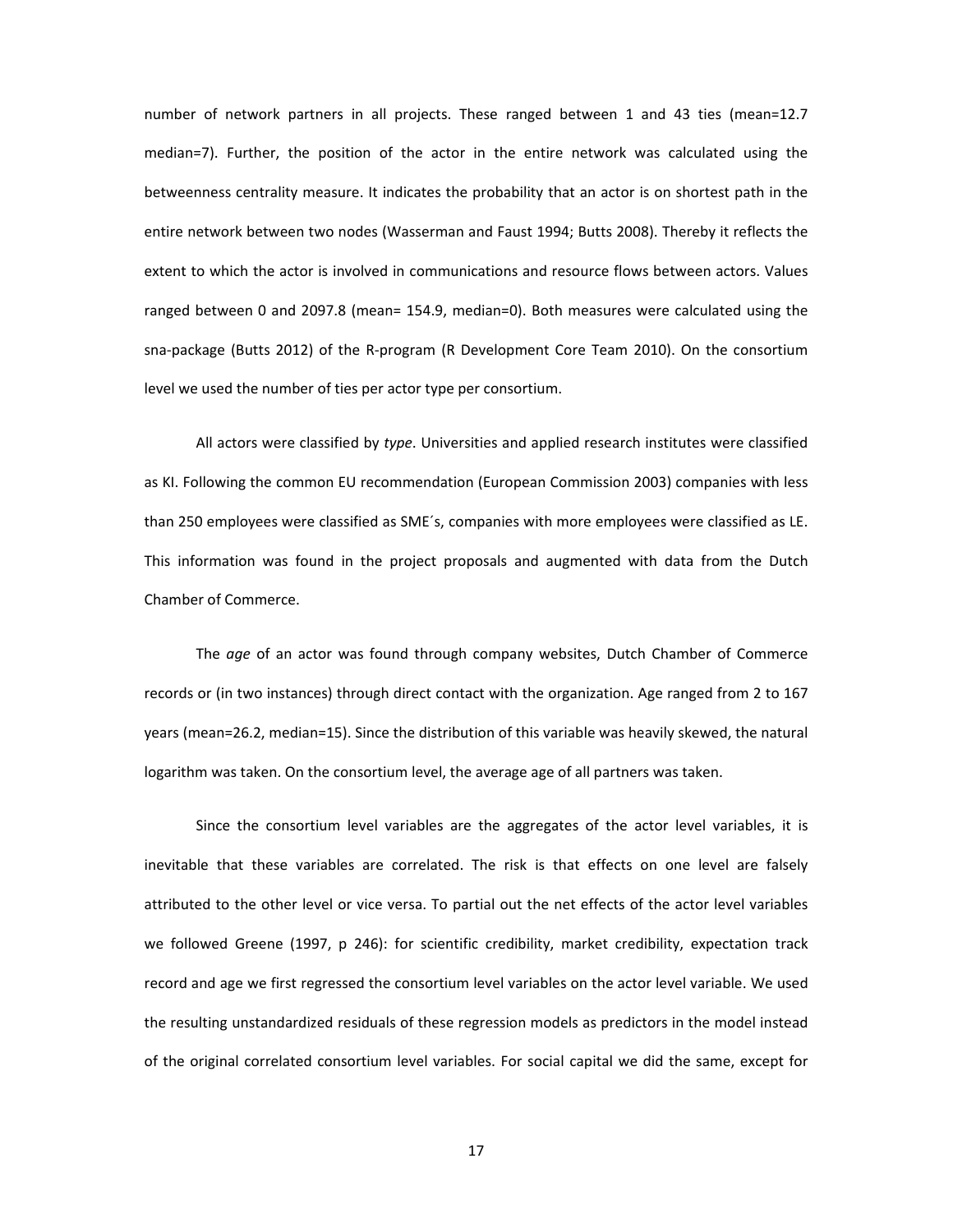number of network partners in all projects. These ranged between 1 and 43 ties (mean=12.7 median=7). Further, the position of the actor in the entire network was calculated using the betweenness centrality measure. It indicates the probability that an actor is on shortest path in the entire network between two nodes (Wasserman and Faust 1994; Butts 2008). Thereby it reflects the extent to which the actor is involved in communications and resource flows between actors. Values ranged between 0 and 2097.8 (mean= 154.9, median=0). Both measures were calculated using the sna-package (Butts 2012) of the R-program (R Development Core Team 2010). On the consortium level we used the number of ties per actor type per consortium.

All actors were classified by *type*. Universities and applied research institutes were classified as KI. Following the common EU recommendation (European Commission 2003) companies with less than 250 employees were classified as SME´s, companies with more employees were classified as LE. This information was found in the project proposals and augmented with data from the Dutch Chamber of Commerce.

The *age* of an actor was found through company websites, Dutch Chamber of Commerce records or (in two instances) through direct contact with the organization. Age ranged from 2 to 167 years (mean=26.2, median=15). Since the distribution of this variable was heavily skewed, the natural logarithm was taken. On the consortium level, the average age of all partners was taken.

Since the consortium level variables are the aggregates of the actor level variables, it is inevitable that these variables are correlated. The risk is that effects on one level are falsely attributed to the other level or vice versa. To partial out the net effects of the actor level variables we followed Greene (1997, p 246): for scientific credibility, market credibility, expectation track record and age we first regressed the consortium level variables on the actor level variable. We used the resulting unstandardized residuals of these regression models as predictors in the model instead of the original correlated consortium level variables. For social capital we did the same, except for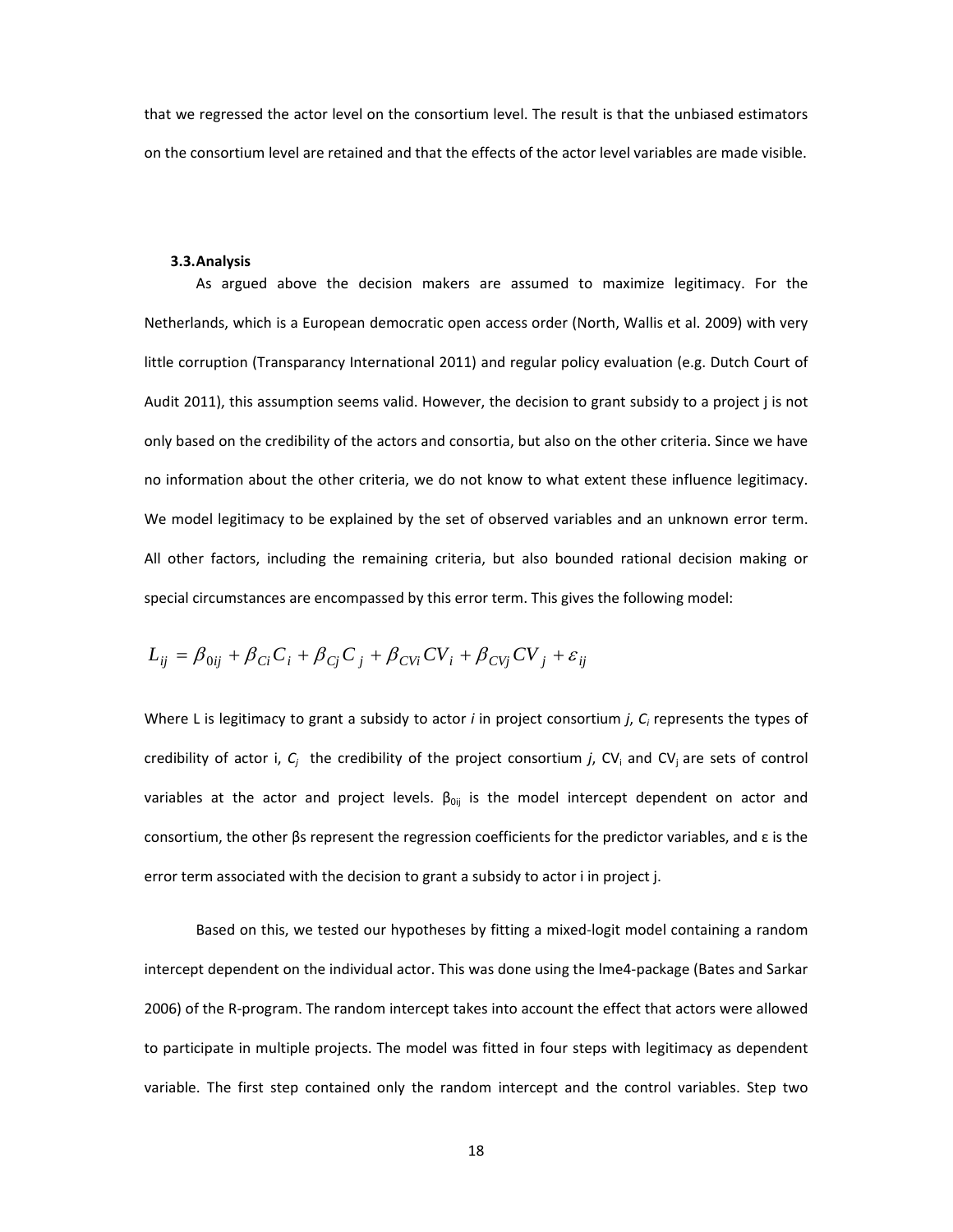that we regressed the actor level on the consortium level. The result is that the unbiased estimators on the consortium level are retained and that the effects of the actor level variables are made visible.

#### **3.3.Analysis**

As argued above the decision makers are assumed to maximize legitimacy. For the Netherlands, which is a European democratic open access order (North, Wallis et al. 2009) with very little corruption (Transparancy International 2011) and regular policy evaluation (e.g. Dutch Court of Audit 2011), this assumption seems valid. However, the decision to grant subsidy to a project j is not only based on the credibility of the actors and consortia, but also on the other criteria. Since we have no information about the other criteria, we do not know to what extent these influence legitimacy. We model legitimacy to be explained by the set of observed variables and an unknown error term. All other factors, including the remaining criteria, but also bounded rational decision making or special circumstances are encompassed by this error term. This gives the following model:

$$
L_{ij} = \beta_{0ij} + \beta_{Ci} C_i + \beta_{Cj} C_j + \beta_{CVi} CV_i + \beta_{CVj} CV_j + \varepsilon_{ij}
$$

Where L is legitimacy to grant a subsidy to actor *i* in project consortium *j*, *C<sup>i</sup>* represents the types of credibility of actor i,  $C_j$  the credibility of the project consortium *j*, CV<sub>i</sub> and CV<sub>j</sub> are sets of control variables at the actor and project levels.  $\beta_{0ij}$  is the model intercept dependent on actor and consortium, the other  $\beta$ s represent the regression coefficients for the predictor variables, and  $\epsilon$  is the error term associated with the decision to grant a subsidy to actor i in project j.

Based on this, we tested our hypotheses by fitting a mixed-logit model containing a random intercept dependent on the individual actor. This was done using the lme4-package (Bates and Sarkar 2006) of the R-program. The random intercept takes into account the effect that actors were allowed to participate in multiple projects. The model was fitted in four steps with legitimacy as dependent variable. The first step contained only the random intercept and the control variables. Step two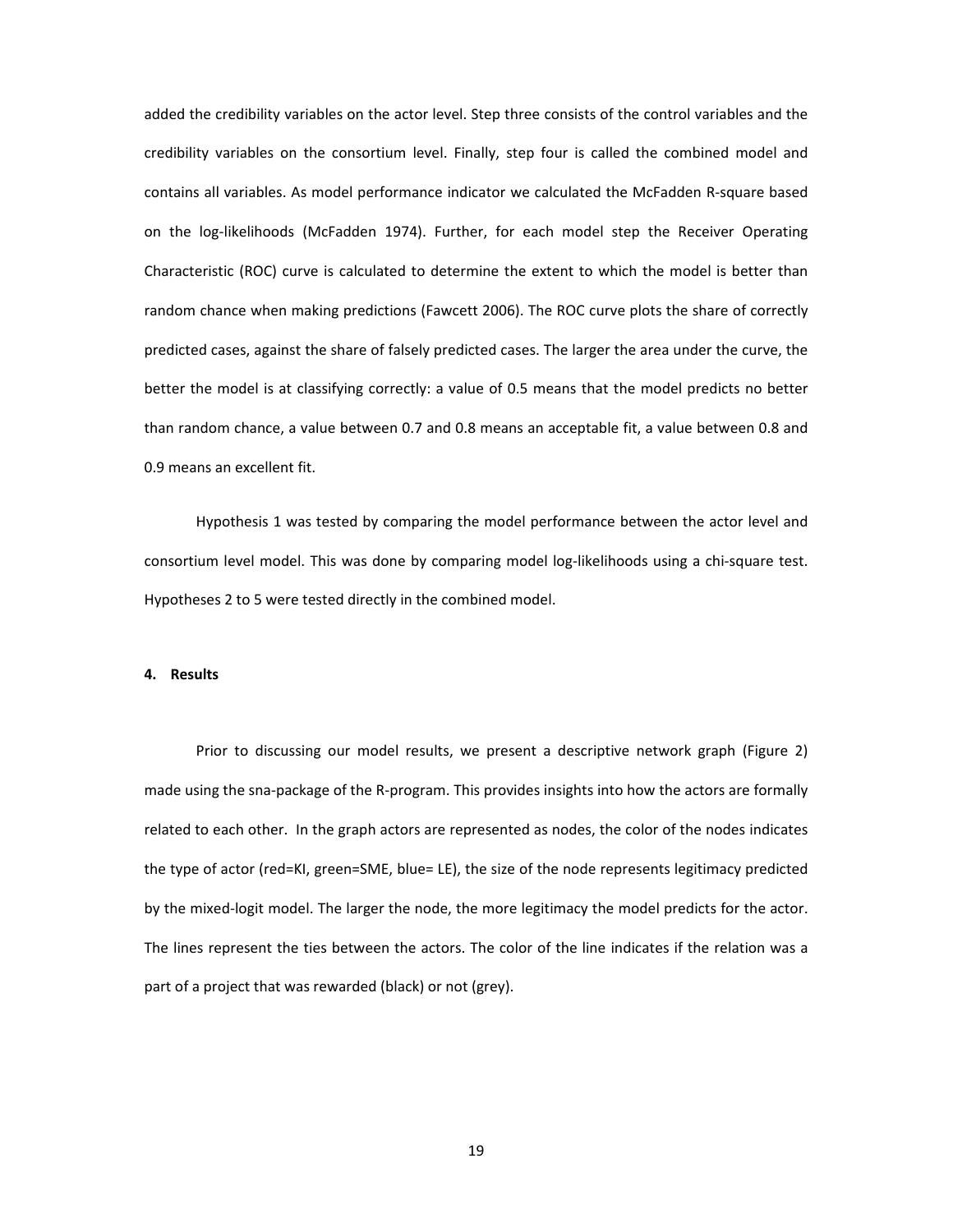added the credibility variables on the actor level. Step three consists of the control variables and the credibility variables on the consortium level. Finally, step four is called the combined model and contains all variables. As model performance indicator we calculated the McFadden R-square based on the log-likelihoods (McFadden 1974). Further, for each model step the Receiver Operating Characteristic (ROC) curve is calculated to determine the extent to which the model is better than random chance when making predictions (Fawcett 2006). The ROC curve plots the share of correctly predicted cases, against the share of falsely predicted cases. The larger the area under the curve, the better the model is at classifying correctly: a value of 0.5 means that the model predicts no better than random chance, a value between 0.7 and 0.8 means an acceptable fit, a value between 0.8 and 0.9 means an excellent fit.

Hypothesis 1 was tested by comparing the model performance between the actor level and consortium level model. This was done by comparing model log-likelihoods using a chi-square test. Hypotheses 2 to 5 were tested directly in the combined model.

#### **4. Results**

Prior to discussing our model results, we present a descriptive network graph (Figure 2) made using the sna-package of the R-program. This provides insights into how the actors are formally related to each other. In the graph actors are represented as nodes, the color of the nodes indicates the type of actor (red=KI, green=SME, blue= LE), the size of the node represents legitimacy predicted by the mixed-logit model. The larger the node, the more legitimacy the model predicts for the actor. The lines represent the ties between the actors. The color of the line indicates if the relation was a part of a project that was rewarded (black) or not (grey).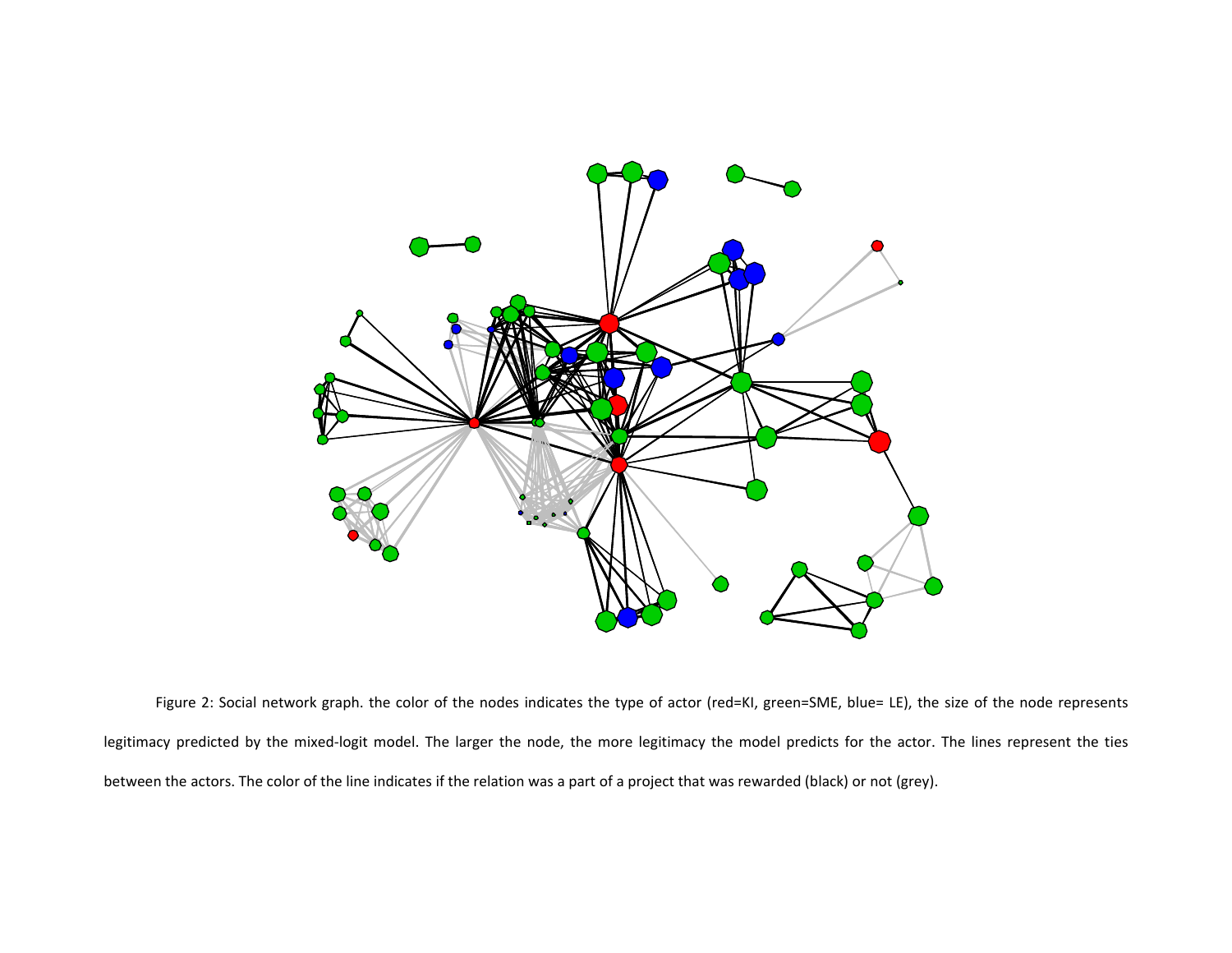

Figure 2: Social network graph. the color of the nodes indicates the type of actor (red=KI, green=SME, blue= LE), the size of the node represents legitimacy predicted by the mixed-logit model. The larger the node, the more legitimacy the model predicts for the actor. The lines represent the ties between the actors. The color of the line indicates if the relation was a part of a project that was rewarded (black) or not (grey).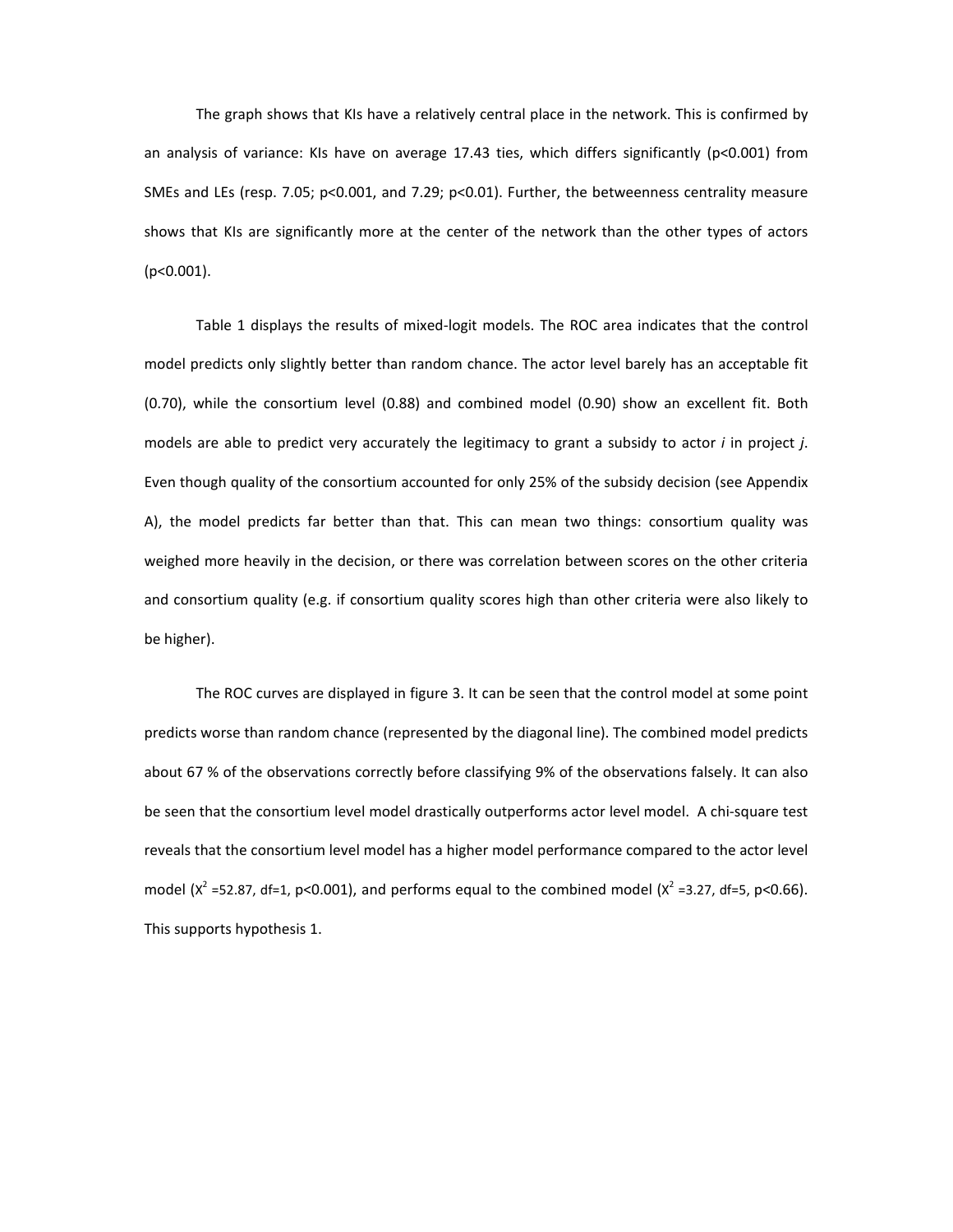The graph shows that KIs have a relatively central place in the network. This is confirmed by an analysis of variance: KIs have on average 17.43 ties, which differs significantly (p<0.001) from SMEs and LEs (resp. 7.05; p<0.001, and 7.29; p<0.01). Further, the betweenness centrality measure shows that KIs are significantly more at the center of the network than the other types of actors (p<0.001).

Table 1 displays the results of mixed-logit models. The ROC area indicates that the control model predicts only slightly better than random chance. The actor level barely has an acceptable fit (0.70), while the consortium level (0.88) and combined model (0.90) show an excellent fit. Both models are able to predict very accurately the legitimacy to grant a subsidy to actor *i* in project *j*. Even though quality of the consortium accounted for only 25% of the subsidy decision (see Appendix A), the model predicts far better than that. This can mean two things: consortium quality was weighed more heavily in the decision, or there was correlation between scores on the other criteria and consortium quality (e.g. if consortium quality scores high than other criteria were also likely to be higher).

The ROC curves are displayed in figure 3. It can be seen that the control model at some point predicts worse than random chance (represented by the diagonal line). The combined model predicts about 67 % of the observations correctly before classifying 9% of the observations falsely. It can also be seen that the consortium level model drastically outperforms actor level model. A chi-square test reveals that the consortium level model has a higher model performance compared to the actor level model ( $x^2$  =52.87, df=1, p<0.001), and performs equal to the combined model ( $x^2$  =3.27, df=5, p<0.66). This supports hypothesis 1.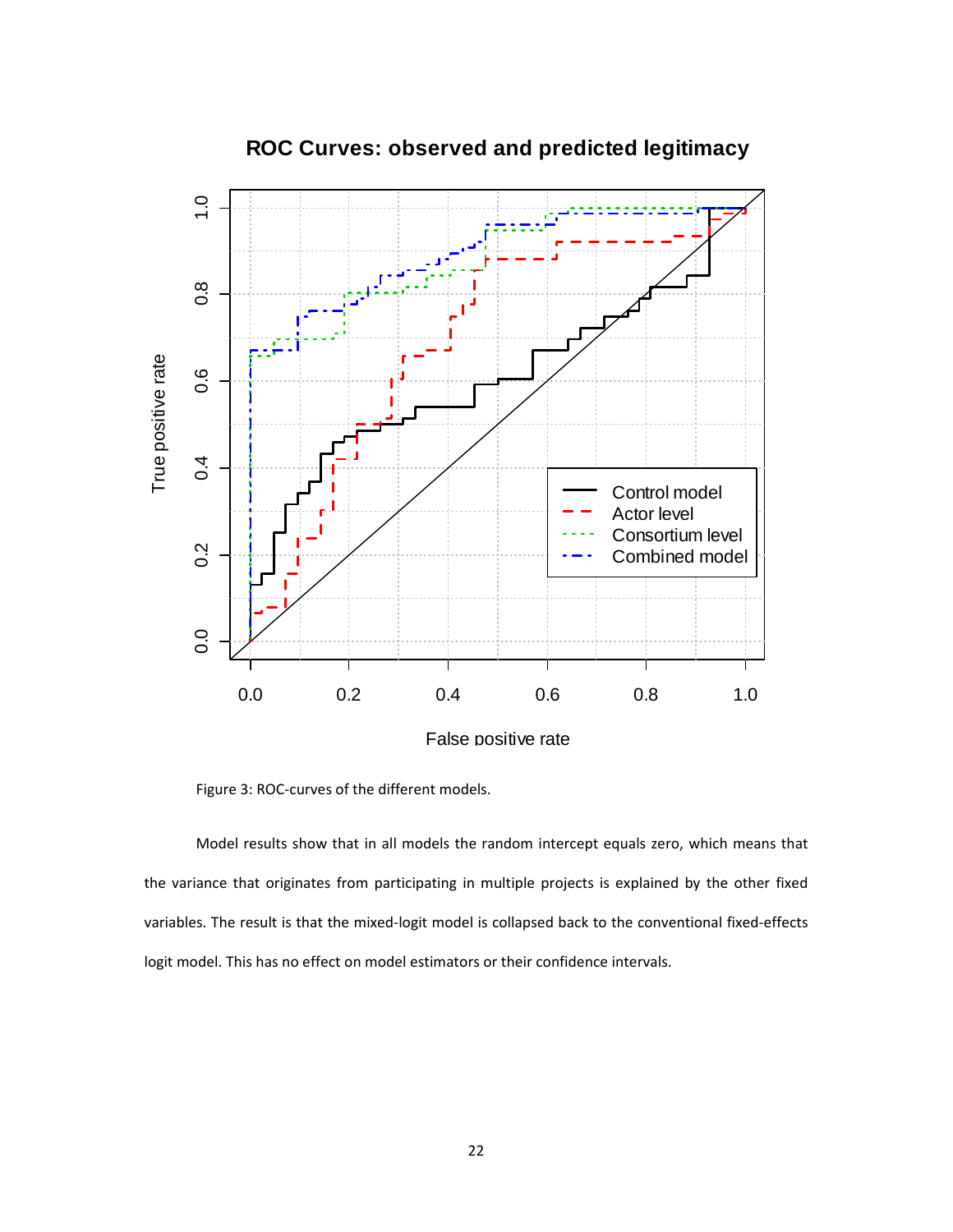

# **ROC Curves: observed and predicted legitimacy**

Figure 3: ROC-curves of the different models.

Model results show that in all models the random intercept equals zero, which means that the variance that originates from participating in multiple projects is explained by the other fixed variables. The result is that the mixed-logit model is collapsed back to the conventional fixed-effects logit model. This has no effect on model estimators or their confidence intervals.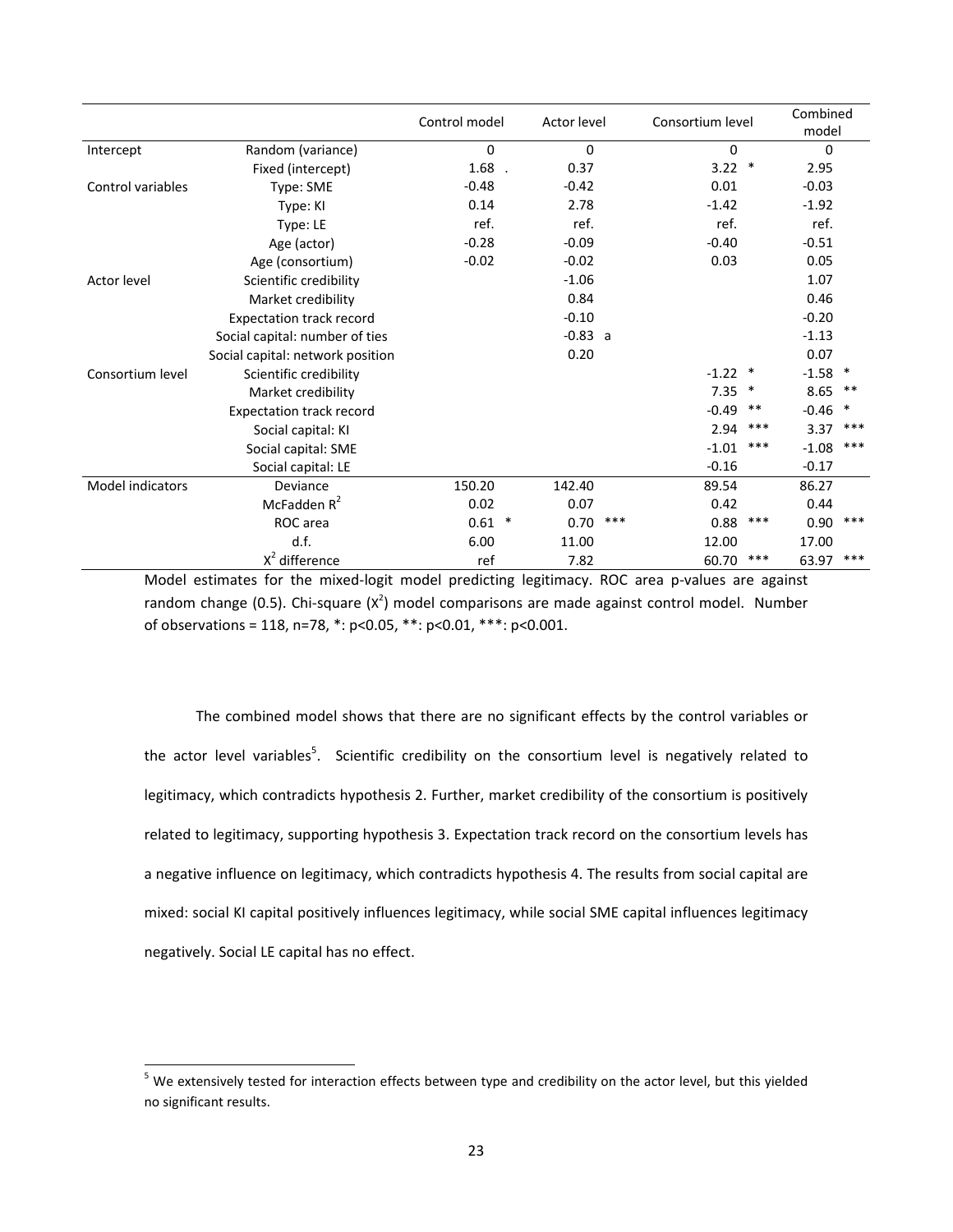|                    |                                  | Control model | Actor level    |             | Consortium level |           |        |
|--------------------|----------------------------------|---------------|----------------|-------------|------------------|-----------|--------|
| Intercept          | Random (variance)                | 0             | 0              | $\mathbf 0$ |                  | $\Omega$  |        |
|                    | Fixed (intercept)                | 1.68          | 0.37           | 3.22        | $\ast$           | 2.95      |        |
| Control variables  | Type: SME                        | $-0.48$       | $-0.42$        | 0.01        |                  | $-0.03$   |        |
|                    | Type: KI                         | 0.14          | 2.78           | $-1.42$     |                  | $-1.92$   |        |
|                    | Type: LE                         | ref.          | ref.           | ref.        |                  | ref.      |        |
|                    | Age (actor)                      | $-0.28$       | $-0.09$        | $-0.40$     |                  | $-0.51$   |        |
|                    | Age (consortium)                 | $-0.02$       | $-0.02$        | 0.03        |                  | 0.05      |        |
| <b>Actor level</b> | Scientific credibility           |               | $-1.06$        |             |                  | 1.07      |        |
|                    | Market credibility               |               | 0.84           |             |                  | 0.46      |        |
|                    | <b>Expectation track record</b>  |               | $-0.10$        |             |                  | $-0.20$   |        |
|                    | Social capital: number of ties   |               | $-0.83 a$      |             |                  | $-1.13$   |        |
|                    | Social capital: network position |               | 0.20           |             |                  | 0.07      |        |
| Consortium level   | Scientific credibility           |               |                | $-1.22$     | $\ast$           | $-1.58$ * |        |
|                    | Market credibility               |               |                | 7.35        | $\ast$           | 8.65      | **     |
|                    | <b>Expectation track record</b>  |               |                | $-0.49$     | $***$            | $-0.46$   | $\ast$ |
|                    | Social capital: KI               |               |                | 2.94        | ***              | 3.37      | $***$  |
|                    | Social capital: SME              |               |                | $-1.01$     | ***              | $-1.08$   | ***    |
|                    | Social capital: LE               |               |                | $-0.16$     |                  | $-0.17$   |        |
| Model indicators   | Deviance                         | 150.20        | 142.40         | 89.54       |                  | 86.27     |        |
|                    | McFadden $R^2$                   | 0.02          | 0.07           | 0.42        |                  | 0.44      |        |
|                    | ROC area                         | 0.61          | $\ast$<br>0.70 | ***<br>0.88 | ***              | 0.90      | ***    |
|                    | d.f.                             | 6.00          | 11.00          | 12.00       |                  | 17.00     |        |
|                    | $X^2$ difference                 | ref           | 7.82           | 60.70       | ***              | 63.97     | $***$  |

Model estimates for the mixed-logit model predicting legitimacy. ROC area p-values are against random change (0.5). Chi-square  $(X^2)$  model comparisons are made against control model. Number of observations = 118, n=78, \*: p<0.05, \*\*: p<0.01, \*\*\*: p<0.001.

The combined model shows that there are no significant effects by the control variables or the actor level variables<sup>5</sup>. Scientific credibility on the consortium level is negatively related to legitimacy, which contradicts hypothesis 2. Further, market credibility of the consortium is positively related to legitimacy, supporting hypothesis 3. Expectation track record on the consortium levels has a negative influence on legitimacy, which contradicts hypothesis 4. The results from social capital are mixed: social KI capital positively influences legitimacy, while social SME capital influences legitimacy negatively. Social LE capital has no effect.

<sup>&</sup>lt;sup>5</sup> We extensively tested for interaction effects between type and credibility on the actor level, but this yielded no significant results.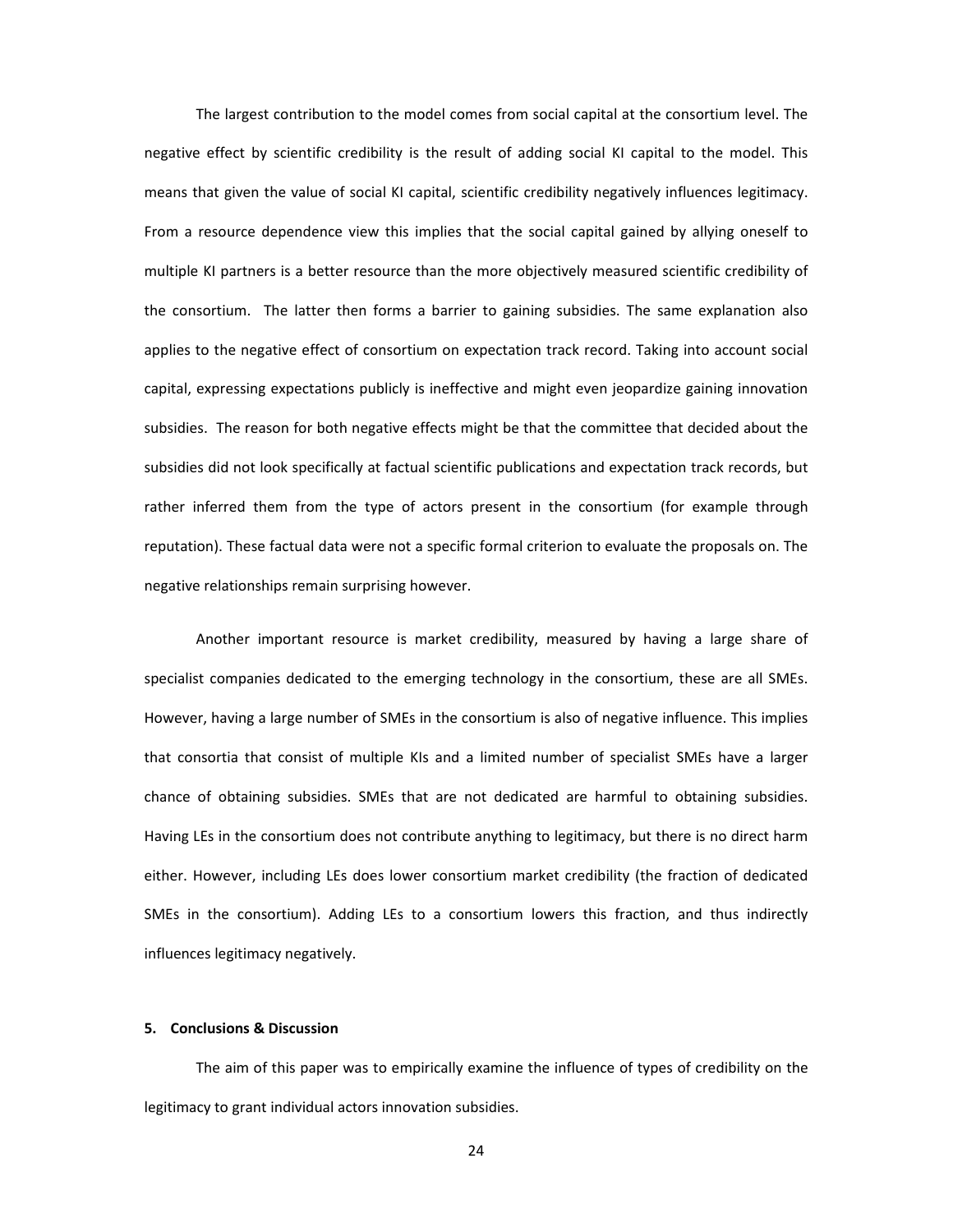The largest contribution to the model comes from social capital at the consortium level. The negative effect by scientific credibility is the result of adding social KI capital to the model. This means that given the value of social KI capital, scientific credibility negatively influences legitimacy. From a resource dependence view this implies that the social capital gained by allying oneself to multiple KI partners is a better resource than the more objectively measured scientific credibility of the consortium. The latter then forms a barrier to gaining subsidies. The same explanation also applies to the negative effect of consortium on expectation track record. Taking into account social capital, expressing expectations publicly is ineffective and might even jeopardize gaining innovation subsidies. The reason for both negative effects might be that the committee that decided about the subsidies did not look specifically at factual scientific publications and expectation track records, but rather inferred them from the type of actors present in the consortium (for example through reputation). These factual data were not a specific formal criterion to evaluate the proposals on. The negative relationships remain surprising however.

Another important resource is market credibility, measured by having a large share of specialist companies dedicated to the emerging technology in the consortium, these are all SMEs. However, having a large number of SMEs in the consortium is also of negative influence. This implies that consortia that consist of multiple KIs and a limited number of specialist SMEs have a larger chance of obtaining subsidies. SMEs that are not dedicated are harmful to obtaining subsidies. Having LEs in the consortium does not contribute anything to legitimacy, but there is no direct harm either. However, including LEs does lower consortium market credibility (the fraction of dedicated SMEs in the consortium). Adding LEs to a consortium lowers this fraction, and thus indirectly influences legitimacy negatively.

# **5. Conclusions & Discussion**

The aim of this paper was to empirically examine the influence of types of credibility on the legitimacy to grant individual actors innovation subsidies.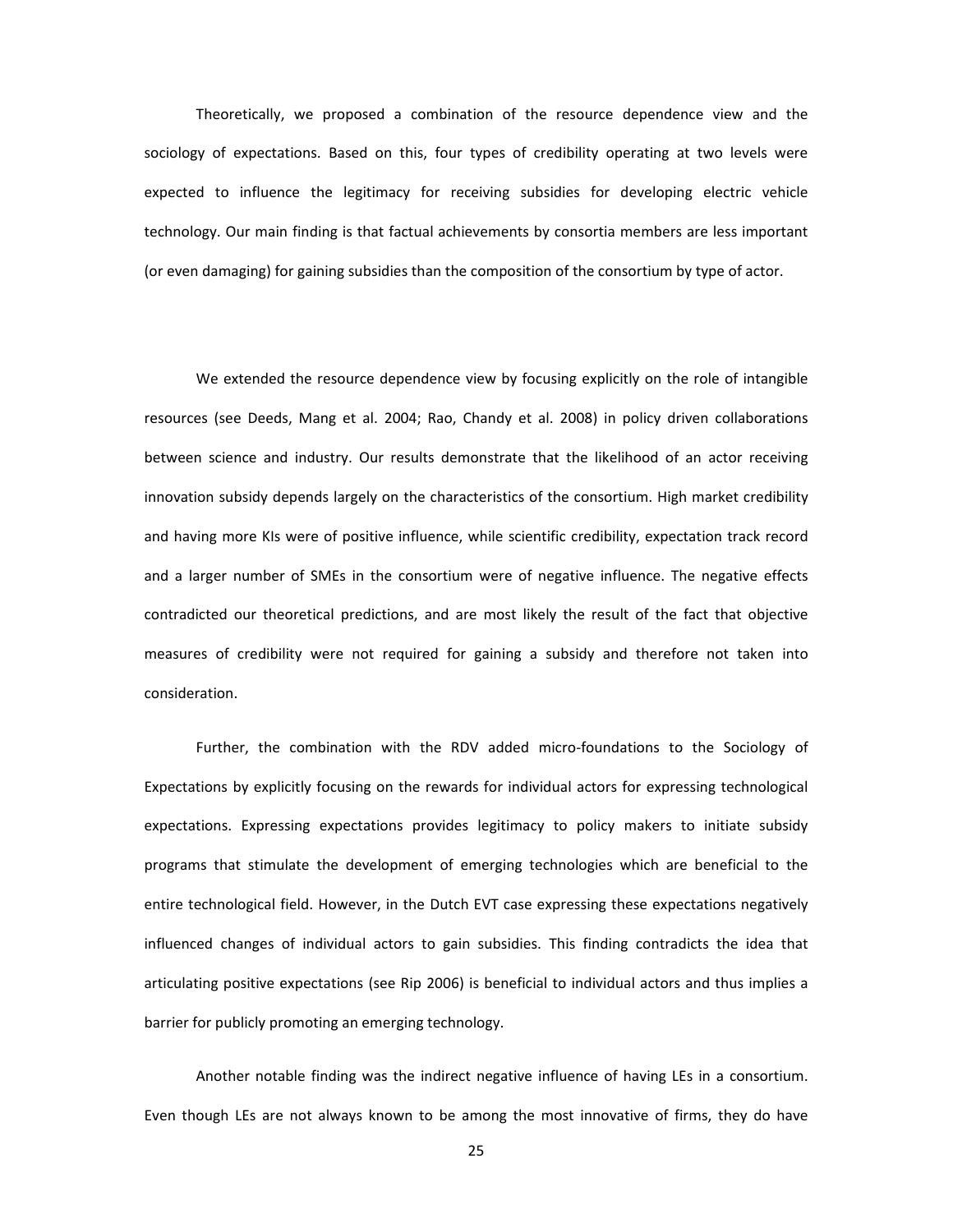Theoretically, we proposed a combination of the resource dependence view and the sociology of expectations. Based on this, four types of credibility operating at two levels were expected to influence the legitimacy for receiving subsidies for developing electric vehicle technology. Our main finding is that factual achievements by consortia members are less important (or even damaging) for gaining subsidies than the composition of the consortium by type of actor.

We extended the resource dependence view by focusing explicitly on the role of intangible resources (see Deeds, Mang et al. 2004; Rao, Chandy et al. 2008) in policy driven collaborations between science and industry. Our results demonstrate that the likelihood of an actor receiving innovation subsidy depends largely on the characteristics of the consortium. High market credibility and having more KIs were of positive influence, while scientific credibility, expectation track record and a larger number of SMEs in the consortium were of negative influence. The negative effects contradicted our theoretical predictions, and are most likely the result of the fact that objective measures of credibility were not required for gaining a subsidy and therefore not taken into consideration.

Further, the combination with the RDV added micro-foundations to the Sociology of Expectations by explicitly focusing on the rewards for individual actors for expressing technological expectations. Expressing expectations provides legitimacy to policy makers to initiate subsidy programs that stimulate the development of emerging technologies which are beneficial to the entire technological field. However, in the Dutch EVT case expressing these expectations negatively influenced changes of individual actors to gain subsidies. This finding contradicts the idea that articulating positive expectations (see Rip 2006) is beneficial to individual actors and thus implies a barrier for publicly promoting an emerging technology.

Another notable finding was the indirect negative influence of having LEs in a consortium. Even though LEs are not always known to be among the most innovative of firms, they do have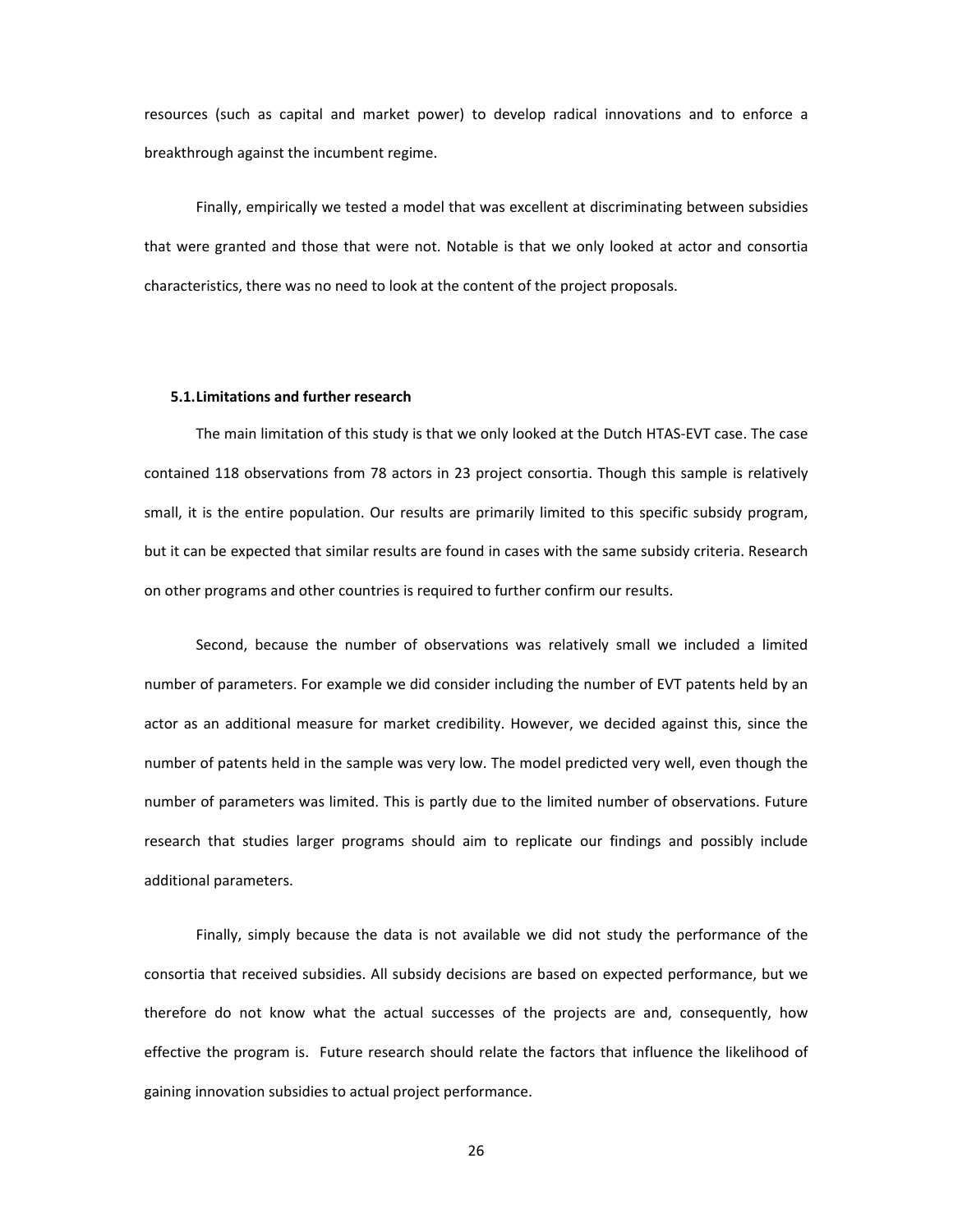resources (such as capital and market power) to develop radical innovations and to enforce a breakthrough against the incumbent regime.

Finally, empirically we tested a model that was excellent at discriminating between subsidies that were granted and those that were not. Notable is that we only looked at actor and consortia characteristics, there was no need to look at the content of the project proposals.

#### **5.1.Limitations and further research**

The main limitation of this study is that we only looked at the Dutch HTAS-EVT case. The case contained 118 observations from 78 actors in 23 project consortia. Though this sample is relatively small, it is the entire population. Our results are primarily limited to this specific subsidy program, but it can be expected that similar results are found in cases with the same subsidy criteria. Research on other programs and other countries is required to further confirm our results.

Second, because the number of observations was relatively small we included a limited number of parameters. For example we did consider including the number of EVT patents held by an actor as an additional measure for market credibility. However, we decided against this, since the number of patents held in the sample was very low. The model predicted very well, even though the number of parameters was limited. This is partly due to the limited number of observations. Future research that studies larger programs should aim to replicate our findings and possibly include additional parameters.

 Finally, simply because the data is not available we did not study the performance of the consortia that received subsidies. All subsidy decisions are based on expected performance, but we therefore do not know what the actual successes of the projects are and, consequently, how effective the program is. Future research should relate the factors that influence the likelihood of gaining innovation subsidies to actual project performance.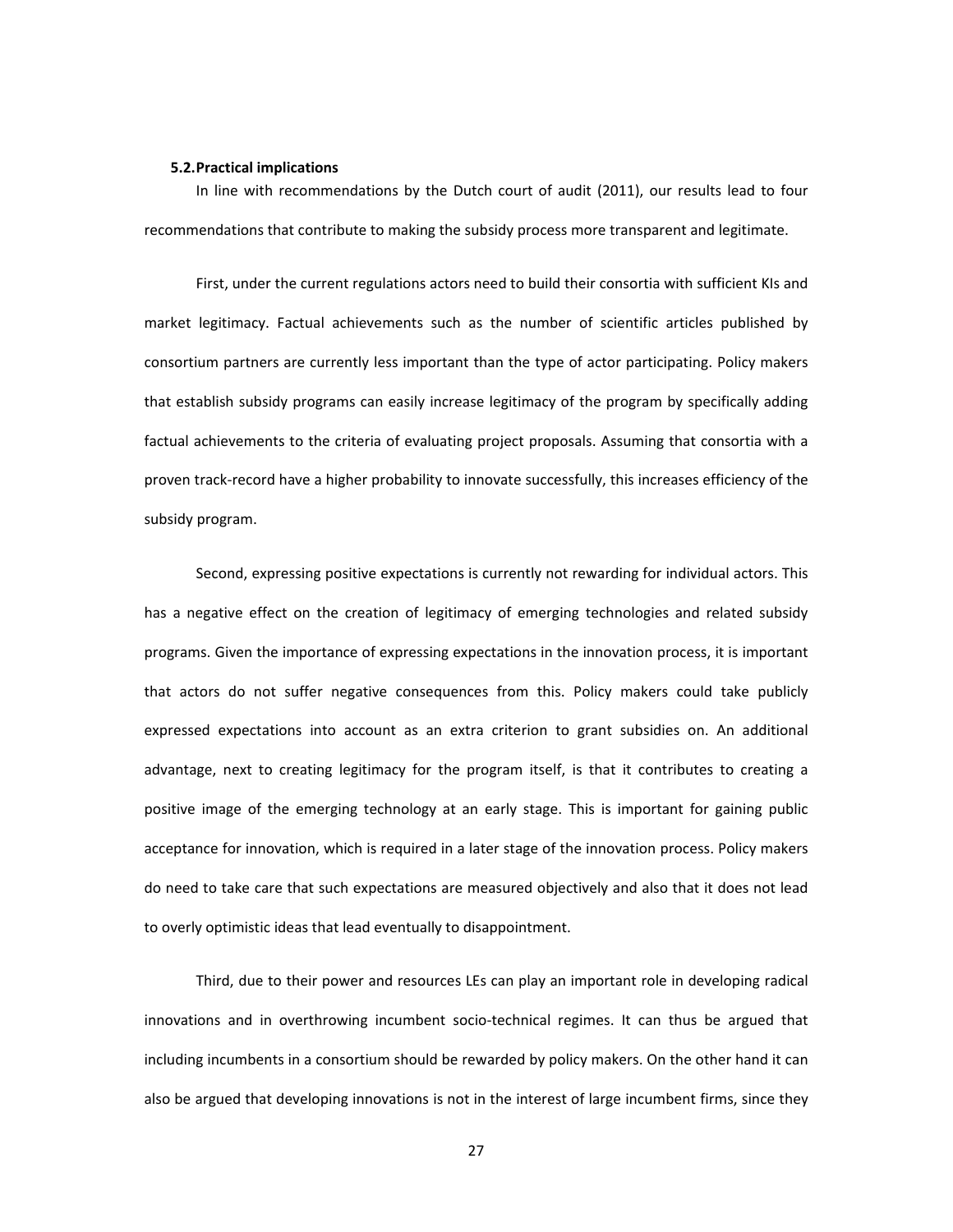#### **5.2.Practical implications**

In line with recommendations by the Dutch court of audit (2011), our results lead to four recommendations that contribute to making the subsidy process more transparent and legitimate.

First, under the current regulations actors need to build their consortia with sufficient KIs and market legitimacy. Factual achievements such as the number of scientific articles published by consortium partners are currently less important than the type of actor participating. Policy makers that establish subsidy programs can easily increase legitimacy of the program by specifically adding factual achievements to the criteria of evaluating project proposals. Assuming that consortia with a proven track-record have a higher probability to innovate successfully, this increases efficiency of the subsidy program.

Second, expressing positive expectations is currently not rewarding for individual actors. This has a negative effect on the creation of legitimacy of emerging technologies and related subsidy programs. Given the importance of expressing expectations in the innovation process, it is important that actors do not suffer negative consequences from this. Policy makers could take publicly expressed expectations into account as an extra criterion to grant subsidies on. An additional advantage, next to creating legitimacy for the program itself, is that it contributes to creating a positive image of the emerging technology at an early stage. This is important for gaining public acceptance for innovation, which is required in a later stage of the innovation process. Policy makers do need to take care that such expectations are measured objectively and also that it does not lead to overly optimistic ideas that lead eventually to disappointment.

Third, due to their power and resources LEs can play an important role in developing radical innovations and in overthrowing incumbent socio-technical regimes. It can thus be argued that including incumbents in a consortium should be rewarded by policy makers. On the other hand it can also be argued that developing innovations is not in the interest of large incumbent firms, since they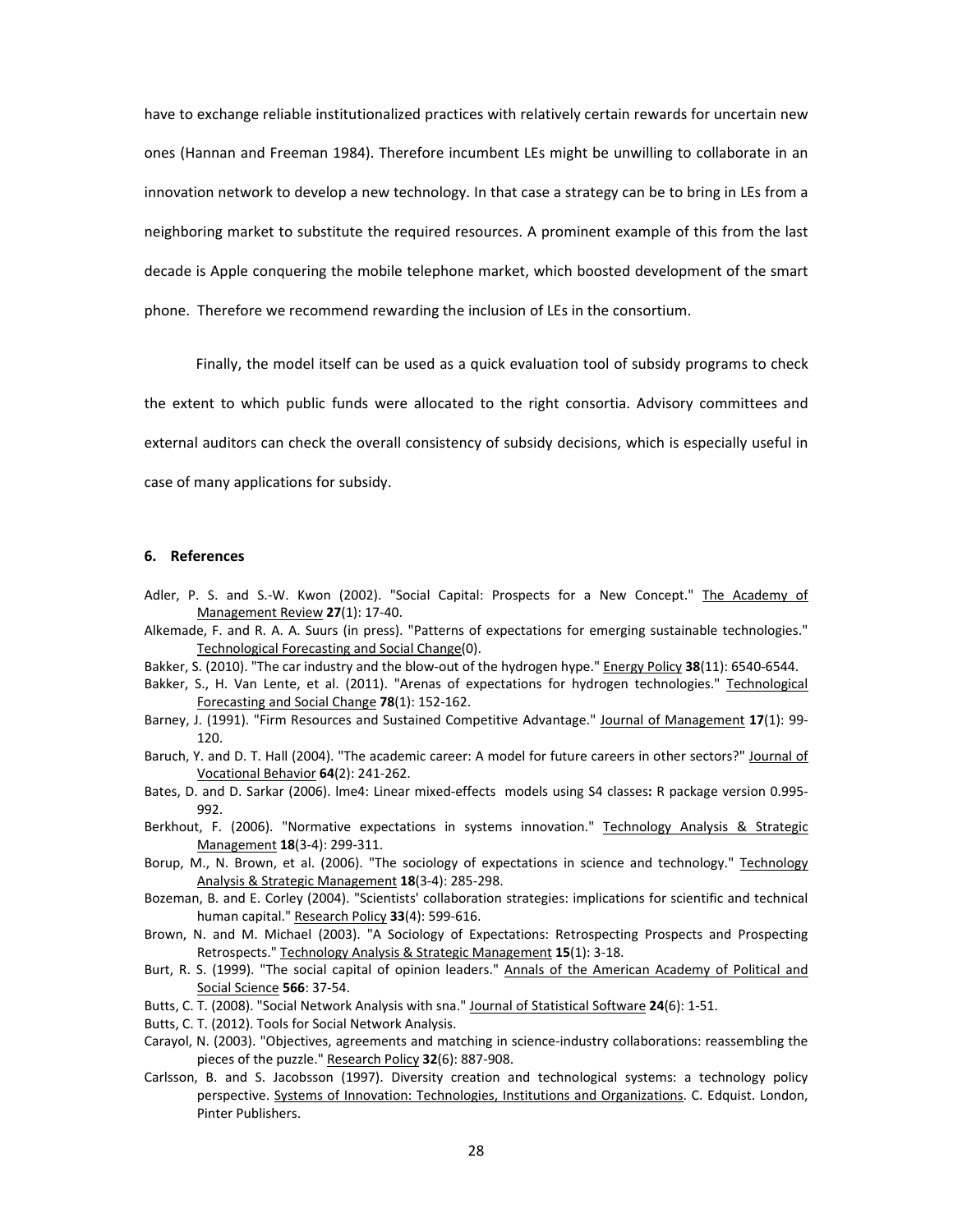have to exchange reliable institutionalized practices with relatively certain rewards for uncertain new ones (Hannan and Freeman 1984). Therefore incumbent LEs might be unwilling to collaborate in an innovation network to develop a new technology. In that case a strategy can be to bring in LEs from a neighboring market to substitute the required resources. A prominent example of this from the last decade is Apple conquering the mobile telephone market, which boosted development of the smart phone. Therefore we recommend rewarding the inclusion of LEs in the consortium.

Finally, the model itself can be used as a quick evaluation tool of subsidy programs to check the extent to which public funds were allocated to the right consortia. Advisory committees and external auditors can check the overall consistency of subsidy decisions, which is especially useful in case of many applications for subsidy.

#### **6. References**

- Adler, P. S. and S.-W. Kwon (2002). "Social Capital: Prospects for a New Concept." The Academy of Management Review 27(1): 17-40.
- Alkemade, F. and R. A. A. Suurs (in press). "Patterns of expectations for emerging sustainable technologies." Technological Forecasting and Social Change(0).
- Bakker, S. (2010). "The car industry and the blow-out of the hydrogen hype." Energy Policy 38(11): 6540-6544.
- Bakker, S., H. Van Lente, et al. (2011). "Arenas of expectations for hydrogen technologies." Technological Forecasting and Social Change 78(1): 152-162.
- Barney, J. (1991). "Firm Resources and Sustained Competitive Advantage." Journal of Management 17(1): 99-120.
- Baruch, Y. and D. T. Hall (2004). "The academic career: A model for future careers in other sectors?" Journal of Vocational Behavior **64**(2): 241-262.
- Bates, D. and D. Sarkar (2006). lme4: Linear mixed-effects models using S4 classes: R package version 0.995-992.
- Berkhout, F. (2006). "Normative expectations in systems innovation." Technology Analysis & Strategic Management 18(3-4): 299-311.
- Borup, M., N. Brown, et al. (2006). "The sociology of expectations in science and technology." Technology Analysis & Strategic Management 18(3-4): 285-298.
- Bozeman, B. and E. Corley (2004). "Scientists' collaboration strategies: implications for scientific and technical human capital." Research Policy 33(4): 599-616.
- Brown, N. and M. Michael (2003). "A Sociology of Expectations: Retrospecting Prospects and Prospecting Retrospects." Technology Analysis & Strategic Management 15(1): 3-18.
- Burt, R. S. (1999). "The social capital of opinion leaders." Annals of the American Academy of Political and Social Science **566**: 37-54.
- Butts, C. T. (2008). "Social Network Analysis with sna." Journal of Statistical Software 24(6): 1-51.
- Butts, C. T. (2012). Tools for Social Network Analysis.
- Carayol, N. (2003). "Objectives, agreements and matching in science-industry collaborations: reassembling the pieces of the puzzle." Research Policy 32(6): 887-908.
- Carlsson, B. and S. Jacobsson (1997). Diversity creation and technological systems: a technology policy perspective. Systems of Innovation: Technologies, Institutions and Organizations. C. Edquist. London, Pinter Publishers.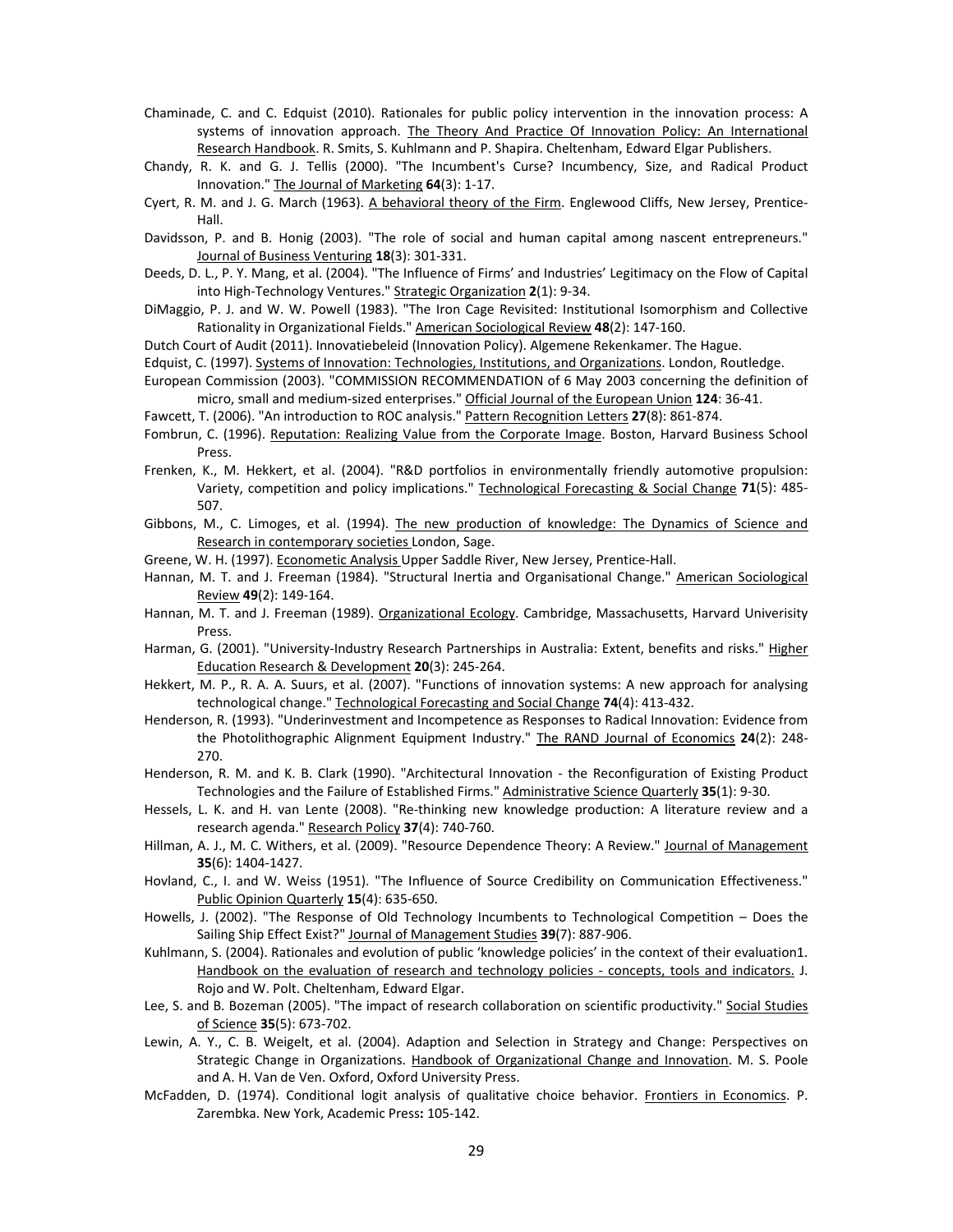- Chaminade, C. and C. Edquist (2010). Rationales for public policy intervention in the innovation process: A systems of innovation approach. The Theory And Practice Of Innovation Policy: An International Research Handbook. R. Smits, S. Kuhlmann and P. Shapira. Cheltenham, Edward Elgar Publishers.
- Chandy, R. K. and G. J. Tellis (2000). "The Incumbent's Curse? Incumbency, Size, and Radical Product Innovation." The Journal of Marketing 64(3): 1-17.
- Cyert, R. M. and J. G. March (1963). A behavioral theory of the Firm. Englewood Cliffs, New Jersey, Prentice-Hall.
- Davidsson, P. and B. Honig (2003). "The role of social and human capital among nascent entrepreneurs." Journal of Business Venturing 18(3): 301-331.
- Deeds, D. L., P. Y. Mang, et al. (2004). "The Influence of Firms' and Industries' Legitimacy on the Flow of Capital into High-Technology Ventures." Strategic Organization 2(1): 9-34.
- DiMaggio, P. J. and W. W. Powell (1983). "The Iron Cage Revisited: Institutional Isomorphism and Collective Rationality in Organizational Fields." American Sociological Review 48(2): 147-160.

Dutch Court of Audit (2011). Innovatiebeleid (Innovation Policy). Algemene Rekenkamer. The Hague.

- Edquist, C. (1997). Systems of Innovation: Technologies, Institutions, and Organizations. London, Routledge.
- European Commission (2003). "COMMISSION RECOMMENDATION of 6 May 2003 concerning the definition of micro, small and medium-sized enterprises." Official Journal of the European Union 124: 36-41.
- Fawcett, T. (2006). "An introduction to ROC analysis." Pattern Recognition Letters 27(8): 861-874.
- Fombrun, C. (1996). Reputation: Realizing Value from the Corporate Image. Boston, Harvard Business School Press.
- Frenken, K., M. Hekkert, et al. (2004). "R&D portfolios in environmentally friendly automotive propulsion: Variety, competition and policy implications." Technological Forecasting & Social Change 71(5): 485-507.
- Gibbons, M., C. Limoges, et al. (1994). The new production of knowledge: The Dynamics of Science and Research in contemporary societies London, Sage.
- Greene, W. H. (1997). Econometic Analysis Upper Saddle River, New Jersey, Prentice-Hall.
- Hannan, M. T. and J. Freeman (1984). "Structural Inertia and Organisational Change." American Sociological Review 49(2): 149-164.
- Hannan, M. T. and J. Freeman (1989). Organizational Ecology. Cambridge, Massachusetts, Harvard Univerisity Press.
- Harman, G. (2001). "University-Industry Research Partnerships in Australia: Extent, benefits and risks." Higher Education Research & Development 20(3): 245-264.
- Hekkert, M. P., R. A. A. Suurs, et al. (2007). "Functions of innovation systems: A new approach for analysing technological change." Technological Forecasting and Social Change 74(4): 413-432.
- Henderson, R. (1993). "Underinvestment and Incompetence as Responses to Radical Innovation: Evidence from the Photolithographic Alignment Equipment Industry." The RAND Journal of Economics 24(2): 248-270.
- Henderson, R. M. and K. B. Clark (1990). "Architectural Innovation the Reconfiguration of Existing Product Technologies and the Failure of Established Firms." Administrative Science Quarterly 35(1): 9-30.
- Hessels, L. K. and H. van Lente (2008). "Re-thinking new knowledge production: A literature review and a research agenda." Research Policy 37(4): 740-760.
- Hillman, A. J., M. C. Withers, et al. (2009). "Resource Dependence Theory: A Review." Journal of Management **35**(6): 1404-1427.
- Hovland, C., I. and W. Weiss (1951). "The Influence of Source Credibility on Communication Effectiveness." Public Opinion Quarterly 15(4): 635-650.
- Howells, J. (2002). "The Response of Old Technology Incumbents to Technological Competition Does the Sailing Ship Effect Exist?" Journal of Management Studies 39(7): 887-906.
- Kuhlmann, S. (2004). Rationales and evolution of public 'knowledge policies' in the context of their evaluation1. Handbook on the evaluation of research and technology policies - concepts, tools and indicators. J. Rojo and W. Polt. Cheltenham, Edward Elgar.
- Lee, S. and B. Bozeman (2005). "The impact of research collaboration on scientific productivity." Social Studies of Science 35(5): 673-702.
- Lewin, A. Y., C. B. Weigelt, et al. (2004). Adaption and Selection in Strategy and Change: Perspectives on Strategic Change in Organizations. Handbook of Organizational Change and Innovation. M. S. Poole and A. H. Van de Ven. Oxford, Oxford University Press.
- McFadden, D. (1974). Conditional logit analysis of qualitative choice behavior. Frontiers in Economics. P. Zarembka. New York, Academic Press: 105-142.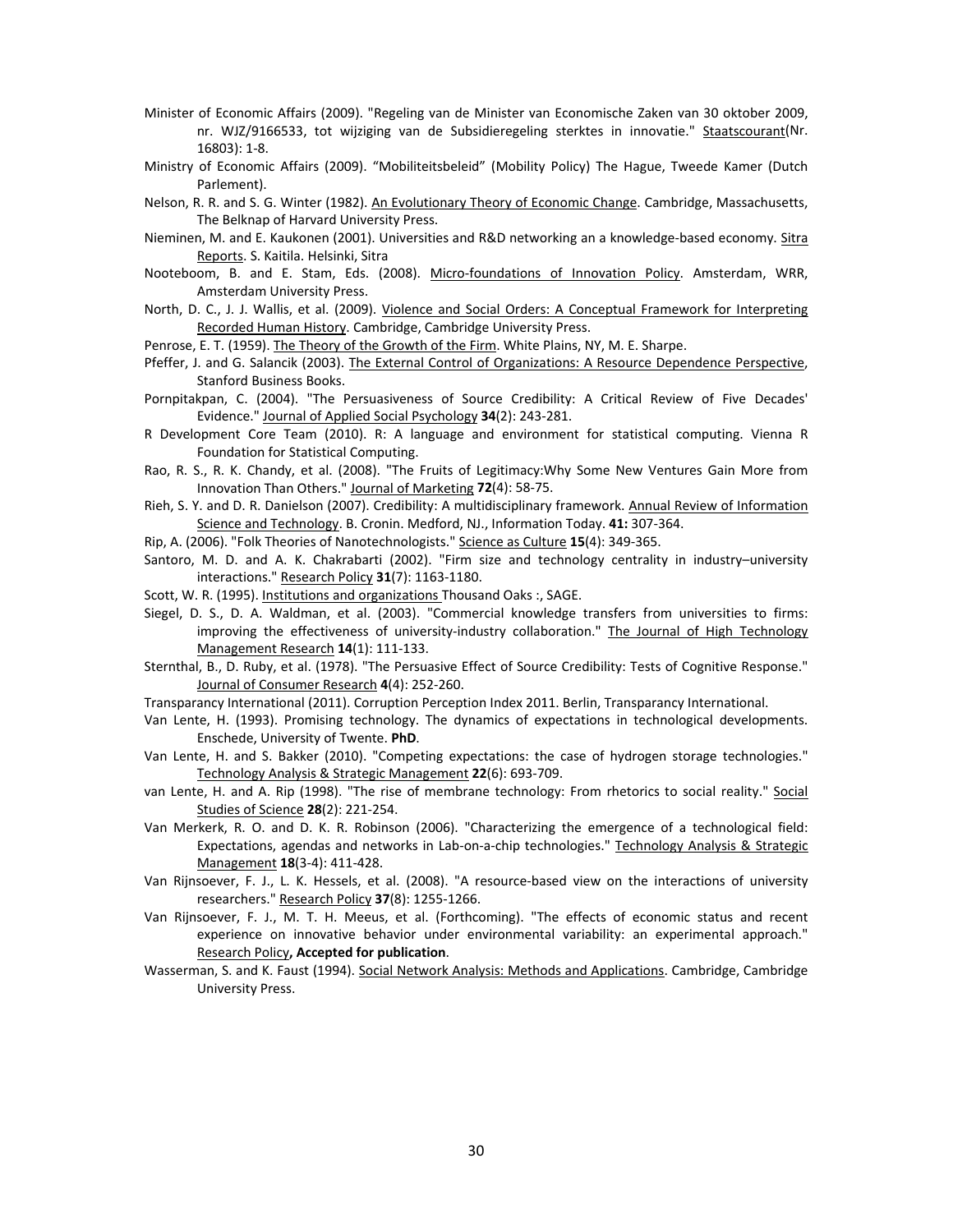- Minister of Economic Affairs (2009). "Regeling van de Minister van Economische Zaken van 30 oktober 2009, nr. WJZ/9166533, tot wijziging van de Subsidieregeling sterktes in innovatie." Staatscourant(Nr.  $16803$ : 1-8.
- Ministry of Economic Affairs (2009). "Mobiliteitsbeleid" (Mobility Policy) The Hague, Tweede Kamer (Dutch Parlement).
- Nelson, R. R. and S. G. Winter (1982). An Evolutionary Theory of Economic Change. Cambridge, Massachusetts, The Belknap of Harvard University Press.
- Nieminen, M. and E. Kaukonen (2001). Universities and R&D networking an a knowledge-based economy. Sitra Reports. S. Kaitila. Helsinki, Sitra
- Nooteboom, B. and E. Stam, Eds. (2008). Micro-foundations of Innovation Policy. Amsterdam, WRR, Amsterdam University Press.
- North, D. C., J. J. Wallis, et al. (2009). Violence and Social Orders: A Conceptual Framework for Interpreting Recorded Human History. Cambridge, Cambridge University Press.

Penrose, E. T. (1959). The Theory of the Growth of the Firm. White Plains, NY, M. E. Sharpe.

- Pfeffer, J. and G. Salancik (2003). The External Control of Organizations: A Resource Dependence Perspective, Stanford Business Books.
- Pornpitakpan, C. (2004). "The Persuasiveness of Source Credibility: A Critical Review of Five Decades' Evidence." Journal of Applied Social Psychology 34(2): 243-281.
- R Development Core Team (2010). R: A language and environment for statistical computing. Vienna R Foundation for Statistical Computing.
- Rao, R. S., R. K. Chandy, et al. (2008). "The Fruits of Legitimacy:Why Some New Ventures Gain More from Innovation Than Others." Journal of Marketing 72(4): 58-75.
- Rieh, S. Y. and D. R. Danielson (2007). Credibility: A multidisciplinary framework. Annual Review of Information Science and Technology. B. Cronin. Medford, NJ., Information Today. 41: 307-364.
- Rip, A. (2006). "Folk Theories of Nanotechnologists." Science as Culture 15(4): 349-365.
- Santoro, M. D. and A. K. Chakrabarti (2002). "Firm size and technology centrality in industry–university interactions." Research Policy 31(7): 1163-1180.
- Scott, W. R. (1995). Institutions and organizations Thousand Oaks:, SAGE.
- Siegel, D. S., D. A. Waldman, et al. (2003). "Commercial knowledge transfers from universities to firms: improving the effectiveness of university-industry collaboration." The Journal of High Technology Management Research **14**(1): 111-133.
- Sternthal, B., D. Ruby, et al. (1978). "The Persuasive Effect of Source Credibility: Tests of Cognitive Response." Journal of Consumer Research 4(4): 252-260.
- Transparancy International (2011). Corruption Perception Index 2011. Berlin, Transparancy International.
- Van Lente, H. (1993). Promising technology. The dynamics of expectations in technological developments. Enschede, University of Twente. **PhD**.
- Van Lente, H. and S. Bakker (2010). "Competing expectations: the case of hydrogen storage technologies." Technology Analysis & Strategic Management 22(6): 693-709.
- van Lente, H. and A. Rip (1998). "The rise of membrane technology: From rhetorics to social reality." Social Studies of Science **28**(2): 221-254.
- Van Merkerk, R. O. and D. K. R. Robinson (2006). "Characterizing the emergence of a technological field: Expectations, agendas and networks in Lab-on-a-chip technologies." Technology Analysis & Strategic Management 18(3-4): 411-428.
- Van Rijnsoever, F. J., L. K. Hessels, et al. (2008). "A resource-based view on the interactions of university researchers." Research Policy 37(8): 1255-1266.
- Van Rijnsoever, F. J., M. T. H. Meeus, et al. (Forthcoming). "The effects of economic status and recent experience on innovative behavior under environmental variability: an experimental approach." Research Policy**, Accepted for publication**.
- Wasserman, S. and K. Faust (1994). Social Network Analysis: Methods and Applications. Cambridge, Cambridge University Press.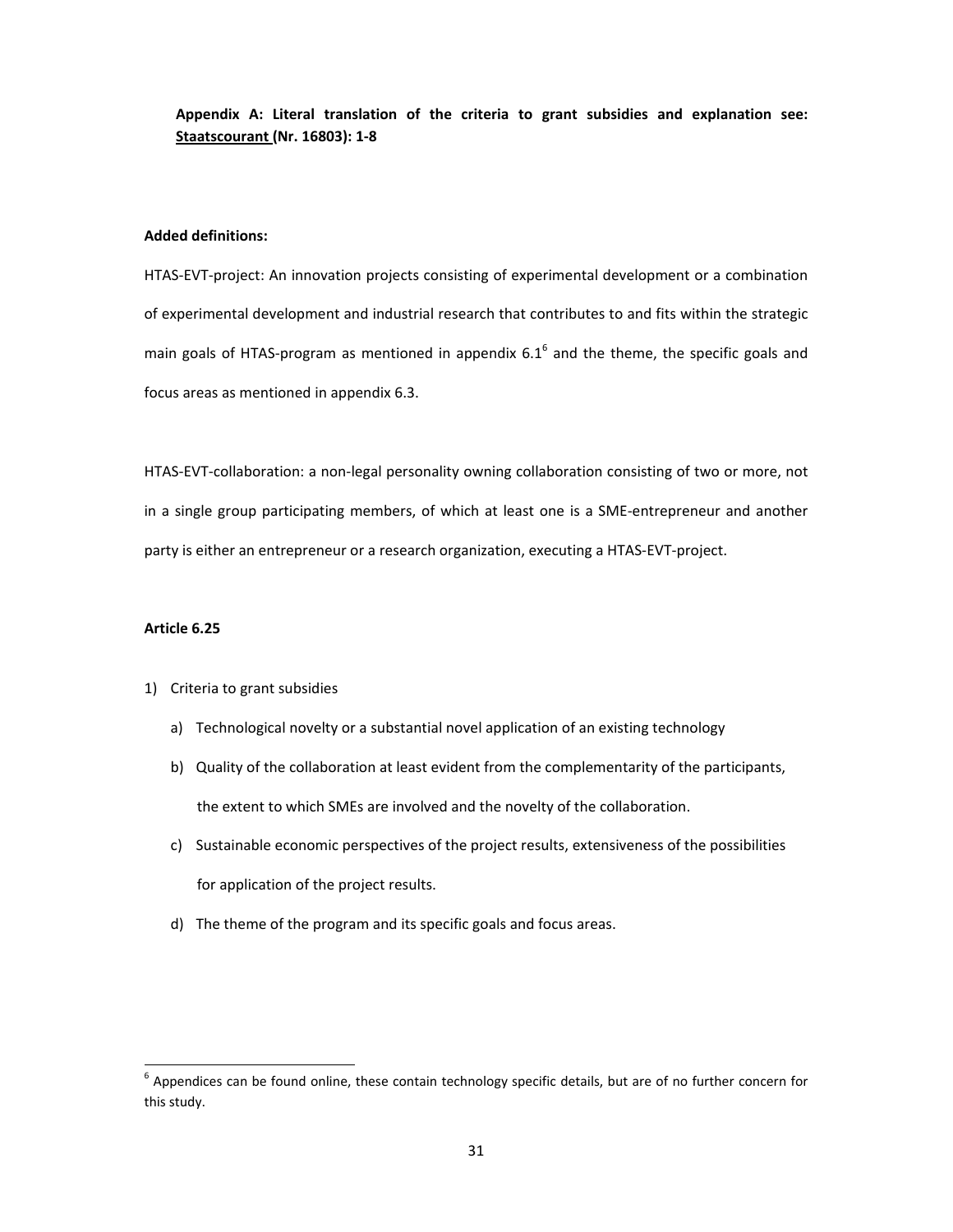**Appendix A: Literal translation of the criteria to grant subsidies and explanation see: Staatscourant (Nr. 16803): 1ど8**

## **Added definitions:**

HTAS-EVT-project: An innovation projects consisting of experimental development or a combination of experimental development and industrial research that contributes to and fits within the strategic main goals of HTAS-program as mentioned in appendix 6.1<sup>6</sup> and the theme, the specific goals and focus areas as mentioned in appendix 6.3.

HTAS-EVT-collaboration: a non-legal personality owning collaboration consisting of two or more, not in a single group participating members, of which at least one is a SME-entrepreneur and another party is either an entrepreneur or a research organization, executing a HTAS-EVT-project.

#### **Article 6.25**

#### 1) Criteria to grant subsidies

- a) Technological novelty or a substantial novel application of an existing technology
- b) Quality of the collaboration at least evident from the complementarity of the participants, the extent to which SMEs are involved and the novelty of the collaboration.
- c) Sustainable economic perspectives of the project results, extensiveness of the possibilities for application of the project results.
- d) The theme of the program and its specific goals and focus areas.

 $^6$  Appendices can be found online, these contain technology specific details, but are of no further concern for this study.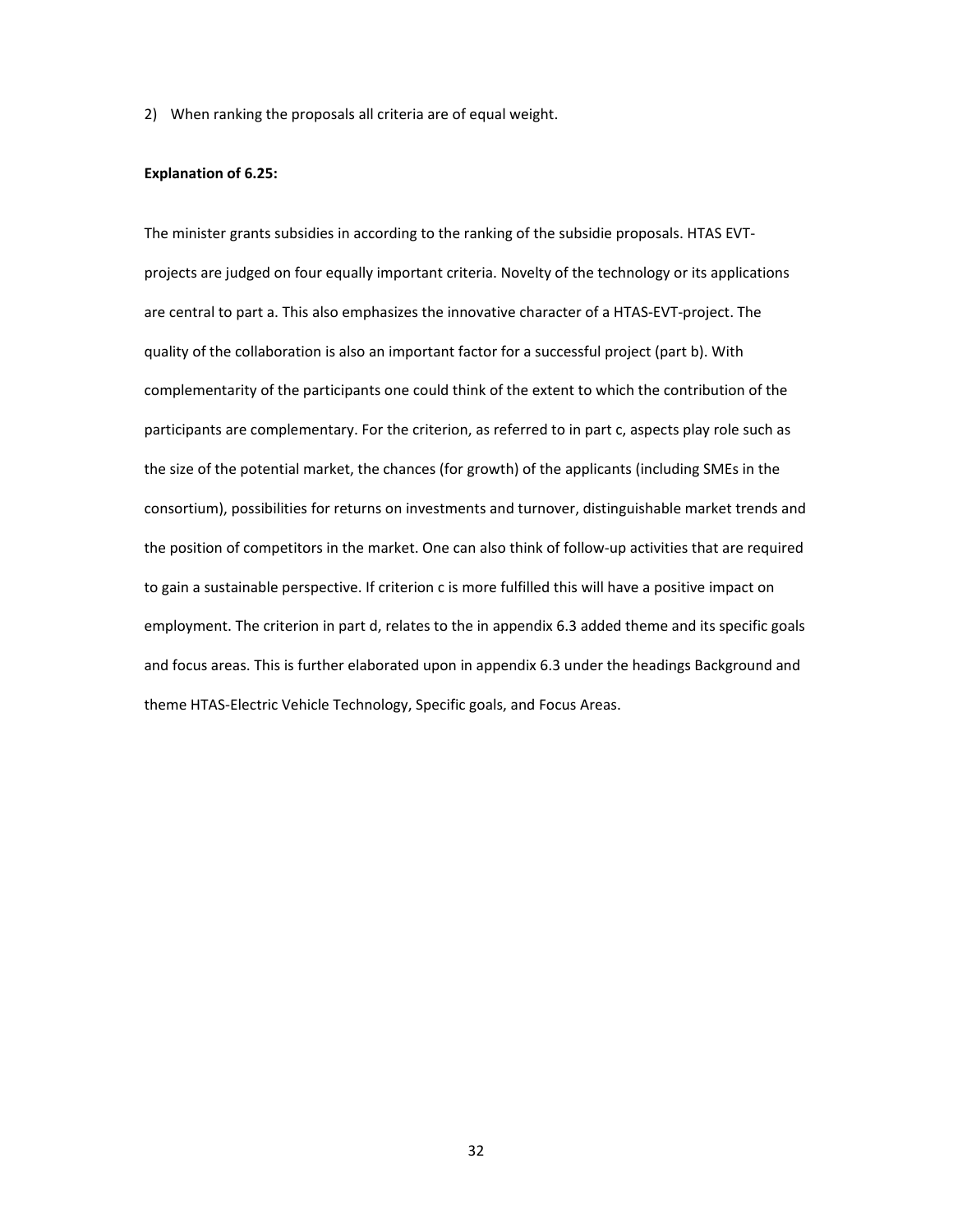2) When ranking the proposals all criteria are of equal weight.

## **Explanation of 6.25:**

The minister grants subsidies in according to the ranking of the subsidie proposals. HTAS EVTprojects are judged on four equally important criteria. Novelty of the technology or its applications are central to part a. This also emphasizes the innovative character of a HTAS-EVT-project. The quality of the collaboration is also an important factor for a successful project (part b). With complementarity of the participants one could think of the extent to which the contribution of the participants are complementary. For the criterion, as referred to in part c, aspects play role such as the size of the potential market, the chances (for growth) of the applicants (including SMEs in the consortium), possibilities for returns on investments and turnover, distinguishable market trends and the position of competitors in the market. One can also think of follow-up activities that are required to gain a sustainable perspective. If criterion c is more fulfilled this will have a positive impact on employment. The criterion in part d, relates to the in appendix 6.3 added theme and its specific goals and focus areas. This is further elaborated upon in appendix 6.3 under the headings Background and theme HTAS-Electric Vehicle Technology, Specific goals, and Focus Areas.